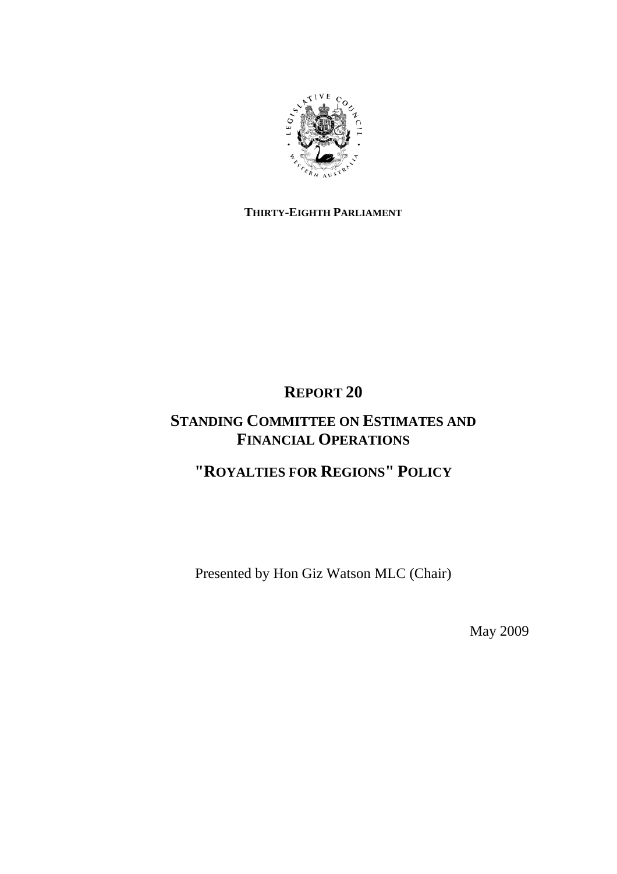

### **THIRTY-EIGHTH PARLIAMENT**

## **REPORT 20**

## **STANDING COMMITTEE ON ESTIMATES AND FINANCIAL OPERATIONS**

## **"ROYALTIES FOR REGIONS" POLICY**

Presented by Hon Giz Watson MLC (Chair)

May 2009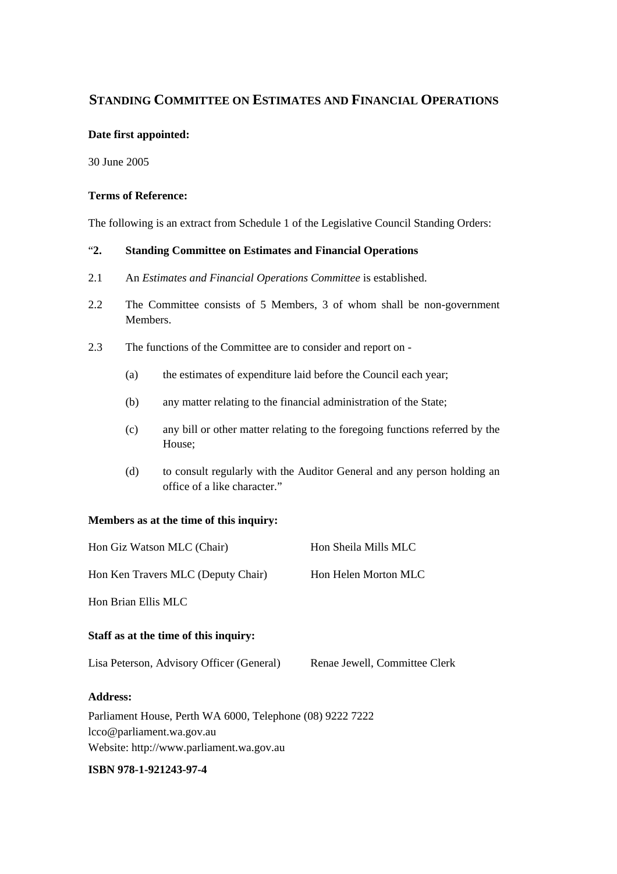### **STANDING COMMITTEE ON ESTIMATES AND FINANCIAL OPERATIONS**

#### **Date first appointed:**

30 June 2005

#### **Terms of Reference:**

The following is an extract from Schedule 1 of the Legislative Council Standing Orders:

#### "**2. Standing Committee on Estimates and Financial Operations**

- 2.1 An *Estimates and Financial Operations Committee* is established.
- 2.2 The Committee consists of 5 Members, 3 of whom shall be non-government Members.
- 2.3 The functions of the Committee are to consider and report on
	- (a) the estimates of expenditure laid before the Council each year;
	- (b) any matter relating to the financial administration of the State;
	- (c) any bill or other matter relating to the foregoing functions referred by the House;
	- (d) to consult regularly with the Auditor General and any person holding an office of a like character."

#### **Members as at the time of this inquiry:**

| Hon Giz Watson MLC (Chair)                                                                                                                                                                                                                                   | Hon Sheila Mills MLC          |
|--------------------------------------------------------------------------------------------------------------------------------------------------------------------------------------------------------------------------------------------------------------|-------------------------------|
| Hon Ken Travers MLC (Deputy Chair)                                                                                                                                                                                                                           | Hon Helen Morton MLC          |
| Hon Brian Ellis MLC                                                                                                                                                                                                                                          |                               |
| Staff as at the time of this inquiry:                                                                                                                                                                                                                        |                               |
| Lisa Peterson, Advisory Officer (General)                                                                                                                                                                                                                    | Renae Jewell, Committee Clerk |
| <b>Address:</b>                                                                                                                                                                                                                                              |                               |
| $R_{1}$ $R_{1}$ $R_{2}$ $R_{3}$ $R_{4}$ $R_{1}$ $R_{1}$ $R_{2}$ $R_{3}$ $R_{4}$ $R_{5}$ $R_{6}$ $R_{7}$ $R_{8}$ $R_{9}$ $R_{10}$ $R_{11}$ $R_{12}$ $R_{13}$ $R_{14}$ $R_{15}$ $R_{16}$ $R_{17}$ $R_{18}$ $R_{19}$ $R_{10}$ $R_{11}$ $R_{12}$ $R_{13}$ $R_{1$ |                               |

Parliament House, Perth WA 6000, Telephone (08) 9222 7222 lcco@parliament.wa.gov.au Website: http://www.parliament.wa.gov.au

#### **ISBN 978-1-921243-97-4**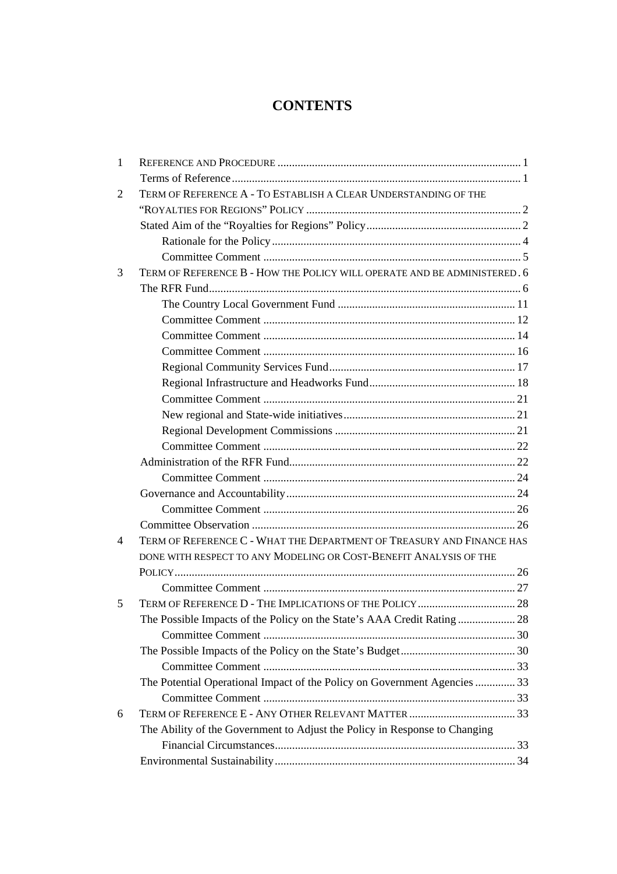### **CONTENTS**

| 1 |                                                                            |  |
|---|----------------------------------------------------------------------------|--|
|   |                                                                            |  |
| 2 | TERM OF REFERENCE A - TO ESTABLISH A CLEAR UNDERSTANDING OF THE            |  |
|   |                                                                            |  |
|   |                                                                            |  |
|   |                                                                            |  |
|   |                                                                            |  |
| 3 | TERM OF REFERENCE B - HOW THE POLICY WILL OPERATE AND BE ADMINISTERED. 6   |  |
|   |                                                                            |  |
|   |                                                                            |  |
|   |                                                                            |  |
|   |                                                                            |  |
|   |                                                                            |  |
|   |                                                                            |  |
|   |                                                                            |  |
|   |                                                                            |  |
|   |                                                                            |  |
|   |                                                                            |  |
|   |                                                                            |  |
|   |                                                                            |  |
|   |                                                                            |  |
|   |                                                                            |  |
|   |                                                                            |  |
|   |                                                                            |  |
| 4 | TERM OF REFERENCE C - WHAT THE DEPARTMENT OF TREASURY AND FINANCE HAS      |  |
|   | DONE WITH RESPECT TO ANY MODELING OR COST-BENEFIT ANALYSIS OF THE          |  |
|   |                                                                            |  |
|   |                                                                            |  |
| 5 | TERM OF REFERENCE D - THE IMPLICATIONS OF THE POLICY  28                   |  |
|   |                                                                            |  |
|   |                                                                            |  |
|   |                                                                            |  |
|   |                                                                            |  |
|   | The Potential Operational Impact of the Policy on Government Agencies  33  |  |
|   |                                                                            |  |
| 6 |                                                                            |  |
|   | The Ability of the Government to Adjust the Policy in Response to Changing |  |
|   |                                                                            |  |
|   |                                                                            |  |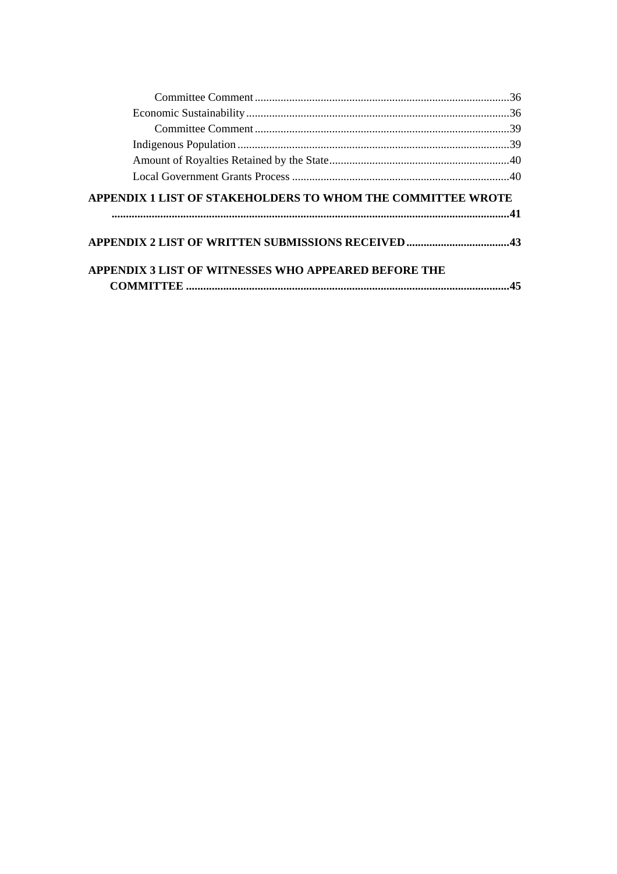| APPENDIX 1 LIST OF STAKEHOLDERS TO WHOM THE COMMITTEE WROTE |  |
|-------------------------------------------------------------|--|
|                                                             |  |
|                                                             |  |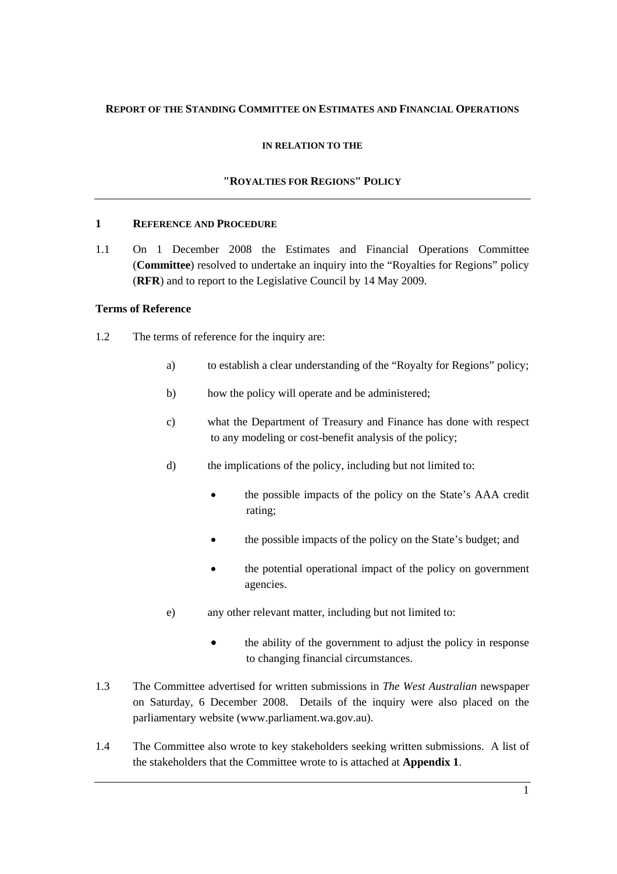#### **REPORT OF THE STANDING COMMITTEE ON ESTIMATES AND FINANCIAL OPERATIONS**

#### **IN RELATION TO THE**

#### **"ROYALTIES FOR REGIONS" POLICY**

#### **1 REFERENCE AND PROCEDURE**

1.1 On 1 December 2008 the Estimates and Financial Operations Committee (**Committee**) resolved to undertake an inquiry into the "Royalties for Regions" policy (**RFR**) and to report to the Legislative Council by 14 May 2009.

#### **Terms of Reference**

- 1.2 The terms of reference for the inquiry are:
	- a) to establish a clear understanding of the "Royalty for Regions" policy;
	- b) how the policy will operate and be administered;
	- c) what the Department of Treasury and Finance has done with respect to any modeling or cost-benefit analysis of the policy;
	- d) the implications of the policy, including but not limited to:
		- the possible impacts of the policy on the State's AAA credit rating;
		- the possible impacts of the policy on the State's budget; and
		- the potential operational impact of the policy on government agencies.
	- e) any other relevant matter, including but not limited to:
		- the ability of the government to adjust the policy in response to changing financial circumstances.
- 1.3 The Committee advertised for written submissions in *The West Australian* newspaper on Saturday, 6 December 2008. Details of the inquiry were also placed on the parliamentary website (www.parliament.wa.gov.au).
- 1.4 The Committee also wrote to key stakeholders seeking written submissions. A list of the stakeholders that the Committee wrote to is attached at **Appendix 1**.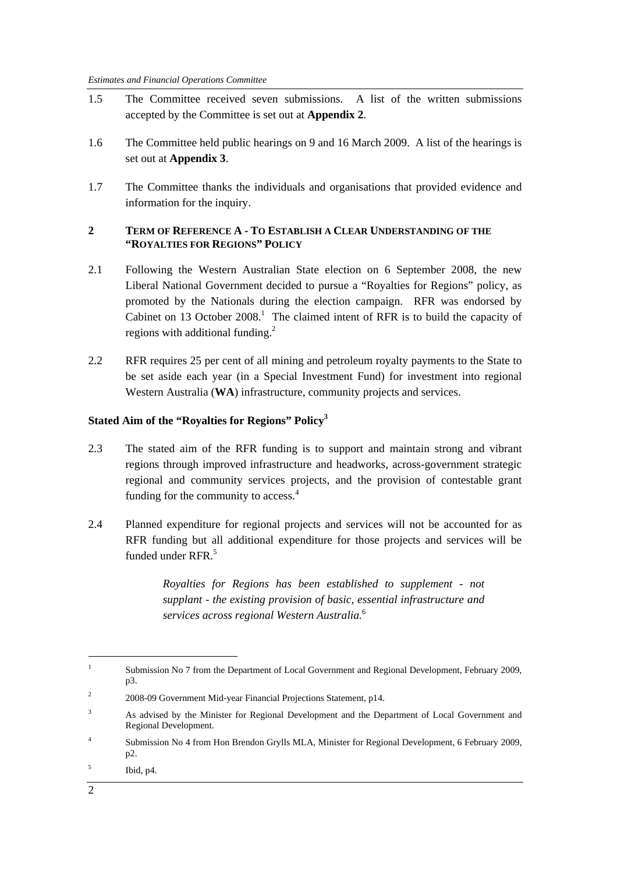- 1.5 The Committee received seven submissions. A list of the written submissions accepted by the Committee is set out at **Appendix 2**.
- 1.6 The Committee held public hearings on 9 and 16 March 2009. A list of the hearings is set out at **Appendix 3**.
- 1.7 The Committee thanks the individuals and organisations that provided evidence and information for the inquiry.

#### **2 TERM OF REFERENCE A - TO ESTABLISH A CLEAR UNDERSTANDING OF THE "ROYALTIES FOR REGIONS" POLICY**

- 2.1 Following the Western Australian State election on 6 September 2008, the new Liberal National Government decided to pursue a "Royalties for Regions" policy, as promoted by the Nationals during the election campaign. RFR was endorsed by Cabinet on 13 October  $2008<sup>1</sup>$ . The claimed intent of RFR is to build the capacity of regions with additional funding.<sup>2</sup>
- 2.2 RFR requires 25 per cent of all mining and petroleum royalty payments to the State to be set aside each year (in a Special Investment Fund) for investment into regional Western Australia (**WA**) infrastructure, community projects and services.

#### **Stated Aim of the "Royalties for Regions" Policy<sup>3</sup>**

- 2.3 The stated aim of the RFR funding is to support and maintain strong and vibrant regions through improved infrastructure and headworks, across-government strategic regional and community services projects, and the provision of contestable grant funding for the community to access.<sup>4</sup>
- 2.4 Planned expenditure for regional projects and services will not be accounted for as RFR funding but all additional expenditure for those projects and services will be funded under RFR.<sup>5</sup>

*Royalties for Regions has been established to supplement - not supplant - the existing provision of basic, essential infrastructure and services across regional Western Australia.*<sup>6</sup>

<sup>1</sup> Submission No 7 from the Department of Local Government and Regional Development, February 2009, p3.

 $\overline{2}$ 2008-09 Government Mid-year Financial Projections Statement, p14.

<sup>3</sup> As advised by the Minister for Regional Development and the Department of Local Government and Regional Development.

<sup>4</sup> Submission No 4 from Hon Brendon Grylls MLA, Minister for Regional Development, 6 February 2009, p2.

<sup>5</sup> Ibid, p4.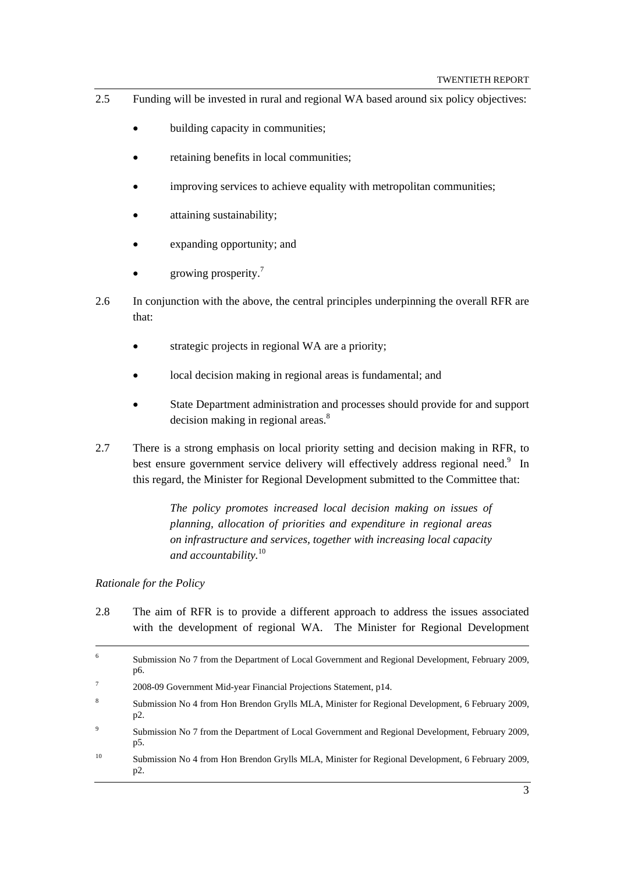- 2.5 Funding will be invested in rural and regional WA based around six policy objectives:
	- building capacity in communities;
	- retaining benefits in local communities;
	- improving services to achieve equality with metropolitan communities;
	- attaining sustainability;
	- expanding opportunity; and
	- growing prosperity.<sup>7</sup>
- 2.6 In conjunction with the above, the central principles underpinning the overall RFR are that:
	- strategic projects in regional WA are a priority;
	- local decision making in regional areas is fundamental; and
	- State Department administration and processes should provide for and support decision making in regional areas.<sup>8</sup>
- 2.7 There is a strong emphasis on local priority setting and decision making in RFR, to best ensure government service delivery will effectively address regional need.<sup>9</sup> In this regard, the Minister for Regional Development submitted to the Committee that:

*The policy promotes increased local decision making on issues of planning, allocation of priorities and expenditure in regional areas on infrastructure and services, together with increasing local capacity and accountability.*<sup>10</sup>

#### *Rationale for the Policy*

2.8 The aim of RFR is to provide a different approach to address the issues associated with the development of regional WA. The Minister for Regional Development

- 7 2008-09 Government Mid-year Financial Projections Statement, p14.
- 8 Submission No 4 from Hon Brendon Grylls MLA, Minister for Regional Development, 6 February 2009, p2.
- 9 Submission No 7 from the Department of Local Government and Regional Development, February 2009, p5.
- <sup>10</sup> Submission No 4 from Hon Brendon Grylls MLA, Minister for Regional Development, 6 February 2009, p2.

 $\frac{1}{6}$  Submission No 7 from the Department of Local Government and Regional Development, February 2009, p6.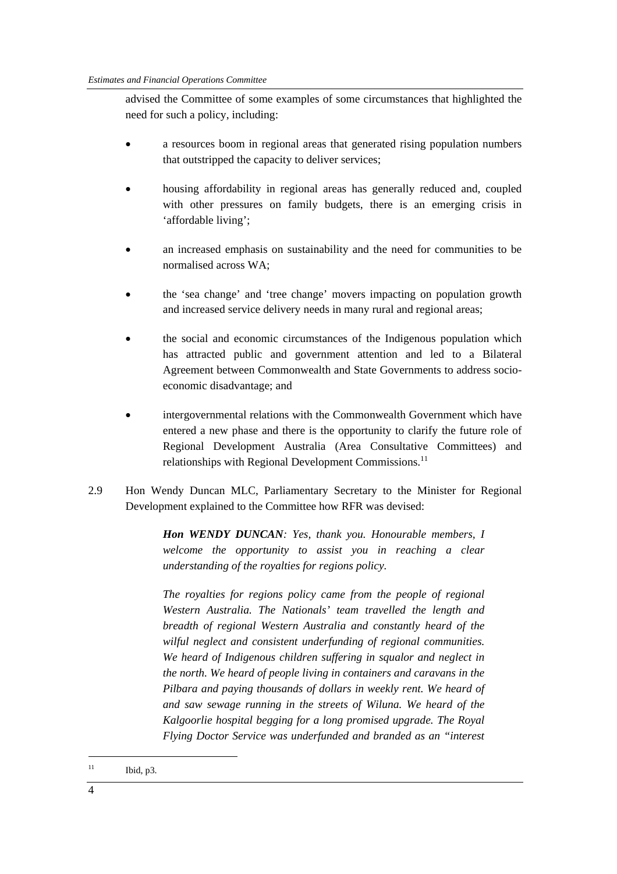advised the Committee of some examples of some circumstances that highlighted the need for such a policy, including:

- a resources boom in regional areas that generated rising population numbers that outstripped the capacity to deliver services;
- housing affordability in regional areas has generally reduced and, coupled with other pressures on family budgets, there is an emerging crisis in 'affordable living';
- an increased emphasis on sustainability and the need for communities to be normalised across WA;
- the 'sea change' and 'tree change' movers impacting on population growth and increased service delivery needs in many rural and regional areas;
- the social and economic circumstances of the Indigenous population which has attracted public and government attention and led to a Bilateral Agreement between Commonwealth and State Governments to address socioeconomic disadvantage; and
- intergovernmental relations with the Commonwealth Government which have entered a new phase and there is the opportunity to clarify the future role of Regional Development Australia (Area Consultative Committees) and relationships with Regional Development Commissions.<sup>11</sup>
- 2.9 Hon Wendy Duncan MLC, Parliamentary Secretary to the Minister for Regional Development explained to the Committee how RFR was devised:

*Hon WENDY DUNCAN: Yes, thank you. Honourable members, I welcome the opportunity to assist you in reaching a clear understanding of the royalties for regions policy.* 

*The royalties for regions policy came from the people of regional Western Australia. The Nationals' team travelled the length and breadth of regional Western Australia and constantly heard of the wilful neglect and consistent underfunding of regional communities. We heard of Indigenous children suffering in squalor and neglect in the north. We heard of people living in containers and caravans in the Pilbara and paying thousands of dollars in weekly rent. We heard of and saw sewage running in the streets of Wiluna. We heard of the Kalgoorlie hospital begging for a long promised upgrade. The Royal Flying Doctor Service was underfunded and branded as an "interest* 

 $11$  Ibid, p3.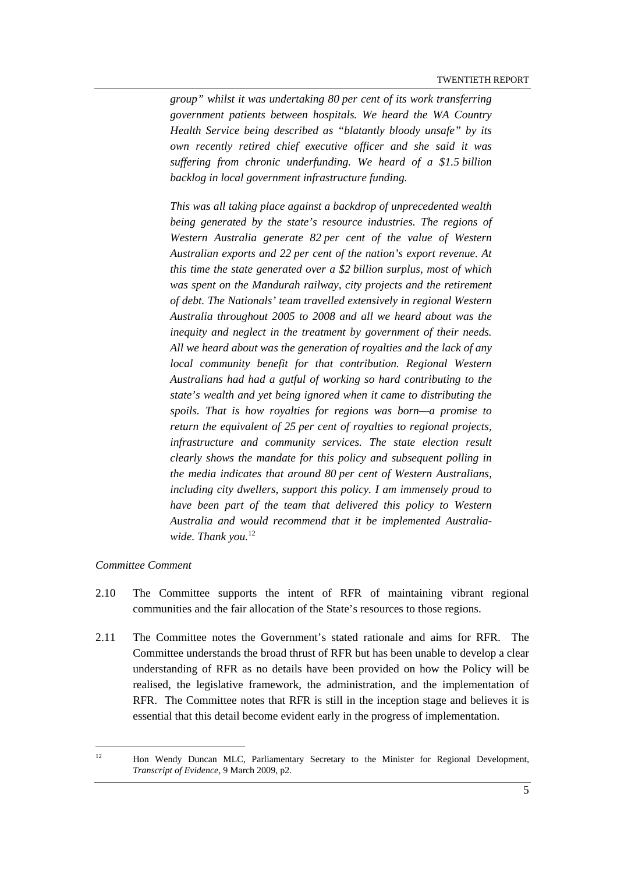*group" whilst it was undertaking 80 per cent of its work transferring government patients between hospitals. We heard the WA Country Health Service being described as "blatantly bloody unsafe" by its own recently retired chief executive officer and she said it was suffering from chronic underfunding. We heard of a \$1.5 billion backlog in local government infrastructure funding.* 

*This was all taking place against a backdrop of unprecedented wealth being generated by the state's resource industries. The regions of Western Australia generate 82 per cent of the value of Western Australian exports and 22 per cent of the nation's export revenue. At this time the state generated over a \$2 billion surplus, most of which was spent on the Mandurah railway, city projects and the retirement of debt. The Nationals' team travelled extensively in regional Western Australia throughout 2005 to 2008 and all we heard about was the inequity and neglect in the treatment by government of their needs. All we heard about was the generation of royalties and the lack of any local community benefit for that contribution. Regional Western Australians had had a gutful of working so hard contributing to the state's wealth and yet being ignored when it came to distributing the spoils. That is how royalties for regions was born—a promise to return the equivalent of 25 per cent of royalties to regional projects, infrastructure and community services. The state election result clearly shows the mandate for this policy and subsequent polling in the media indicates that around 80 per cent of Western Australians, including city dwellers, support this policy. I am immensely proud to have been part of the team that delivered this policy to Western Australia and would recommend that it be implemented Australia*wide. Thank you.<sup>12</sup>

#### *Committee Comment*

- 2.10 The Committee supports the intent of RFR of maintaining vibrant regional communities and the fair allocation of the State's resources to those regions.
- 2.11 The Committee notes the Government's stated rationale and aims for RFR. The Committee understands the broad thrust of RFR but has been unable to develop a clear understanding of RFR as no details have been provided on how the Policy will be realised, the legislative framework, the administration, and the implementation of RFR. The Committee notes that RFR is still in the inception stage and believes it is essential that this detail become evident early in the progress of implementation.

<sup>&</sup>lt;sup>12</sup> Hon Wendy Duncan MLC, Parliamentary Secretary to the Minister for Regional Development, *Transcript of Evidence,* 9 March 2009, p2.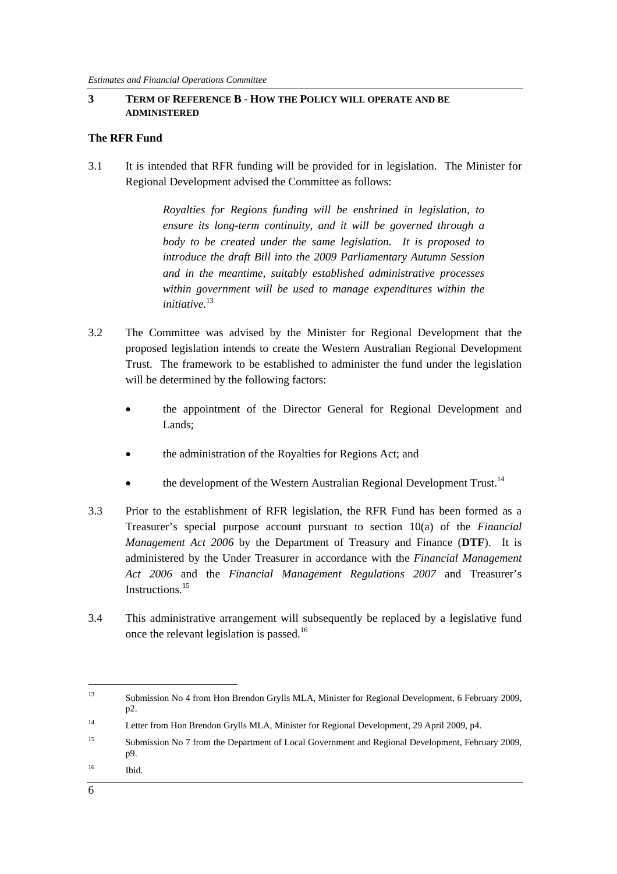#### **3 TERM OF REFERENCE B - HOW THE POLICY WILL OPERATE AND BE ADMINISTERED**

#### **The RFR Fund**

3.1 It is intended that RFR funding will be provided for in legislation. The Minister for Regional Development advised the Committee as follows:

> *Royalties for Regions funding will be enshrined in legislation, to ensure its long-term continuity, and it will be governed through a body to be created under the same legislation. It is proposed to introduce the draft Bill into the 2009 Parliamentary Autumn Session and in the meantime, suitably established administrative processes within government will be used to manage expenditures within the initiative.*<sup>13</sup>

- 3.2 The Committee was advised by the Minister for Regional Development that the proposed legislation intends to create the Western Australian Regional Development Trust. The framework to be established to administer the fund under the legislation will be determined by the following factors:
	- the appointment of the Director General for Regional Development and Lands;
	- the administration of the Royalties for Regions Act; and
	- the development of the Western Australian Regional Development Trust.<sup>14</sup>
- 3.3 Prior to the establishment of RFR legislation, the RFR Fund has been formed as a Treasurer's special purpose account pursuant to section 10(a) of the *Financial Management Act 2006* by the Department of Treasury and Finance (**DTF**). It is administered by the Under Treasurer in accordance with the *Financial Management Act 2006* and the *Financial Management Regulations 2007* and Treasurer's Instructions*.* 15
- 3.4 This administrative arrangement will subsequently be replaced by a legislative fund once the relevant legislation is passed.16

<sup>13</sup> Submission No 4 from Hon Brendon Grylls MLA, Minister for Regional Development, 6 February 2009, p2.

<sup>14</sup> Letter from Hon Brendon Grylls MLA, Minister for Regional Development, 29 April 2009, p4.

<sup>&</sup>lt;sup>15</sup> Submission No 7 from the Department of Local Government and Regional Development, February 2009, p9.

<sup>16</sup> Ibid.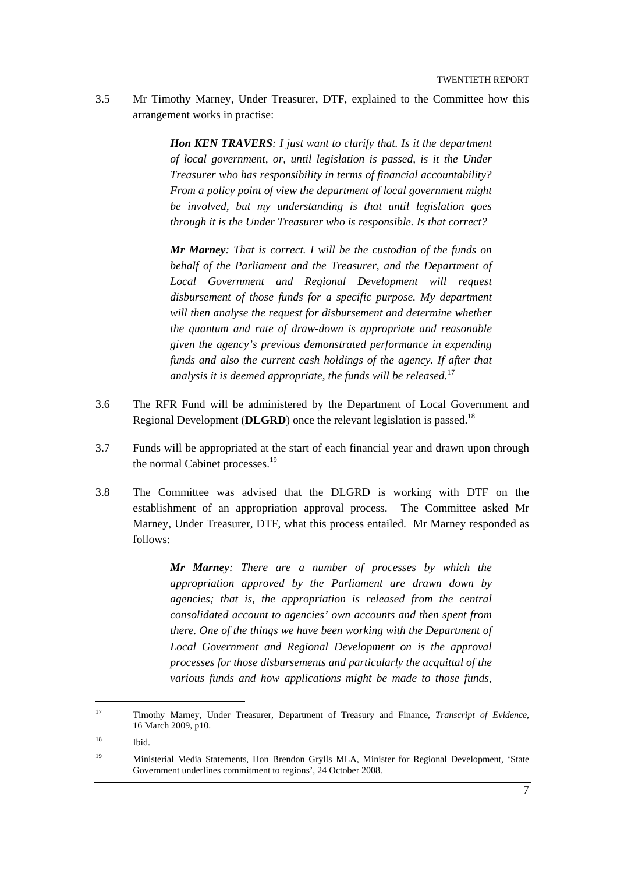3.5 Mr Timothy Marney, Under Treasurer, DTF, explained to the Committee how this arrangement works in practise:

> *Hon KEN TRAVERS: I just want to clarify that. Is it the department of local government, or, until legislation is passed, is it the Under Treasurer who has responsibility in terms of financial accountability? From a policy point of view the department of local government might be involved, but my understanding is that until legislation goes through it is the Under Treasurer who is responsible. Is that correct?*

> *Mr Marney: That is correct. I will be the custodian of the funds on behalf of the Parliament and the Treasurer, and the Department of Local Government and Regional Development will request disbursement of those funds for a specific purpose. My department will then analyse the request for disbursement and determine whether the quantum and rate of draw-down is appropriate and reasonable given the agency's previous demonstrated performance in expending funds and also the current cash holdings of the agency. If after that analysis it is deemed appropriate, the funds will be released.*<sup>17</sup>

- 3.6 The RFR Fund will be administered by the Department of Local Government and Regional Development (**DLGRD**) once the relevant legislation is passed.<sup>18</sup>
- 3.7 Funds will be appropriated at the start of each financial year and drawn upon through the normal Cabinet processes.<sup>19</sup>
- 3.8 The Committee was advised that the DLGRD is working with DTF on the establishment of an appropriation approval process. The Committee asked Mr Marney, Under Treasurer, DTF, what this process entailed. Mr Marney responded as follows:

*Mr Marney: There are a number of processes by which the appropriation approved by the Parliament are drawn down by agencies; that is, the appropriation is released from the central consolidated account to agencies' own accounts and then spent from there. One of the things we have been working with the Department of Local Government and Regional Development on is the approval processes for those disbursements and particularly the acquittal of the various funds and how applications might be made to those funds,* 

<sup>17</sup> Timothy Marney, Under Treasurer, Department of Treasury and Finance, *Transcript of Evidence,*  16 March 2009, p10.

<sup>18</sup> Ibid.

<sup>&</sup>lt;sup>19</sup> Ministerial Media Statements, Hon Brendon Grylls MLA, Minister for Regional Development, 'State Government underlines commitment to regions', 24 October 2008.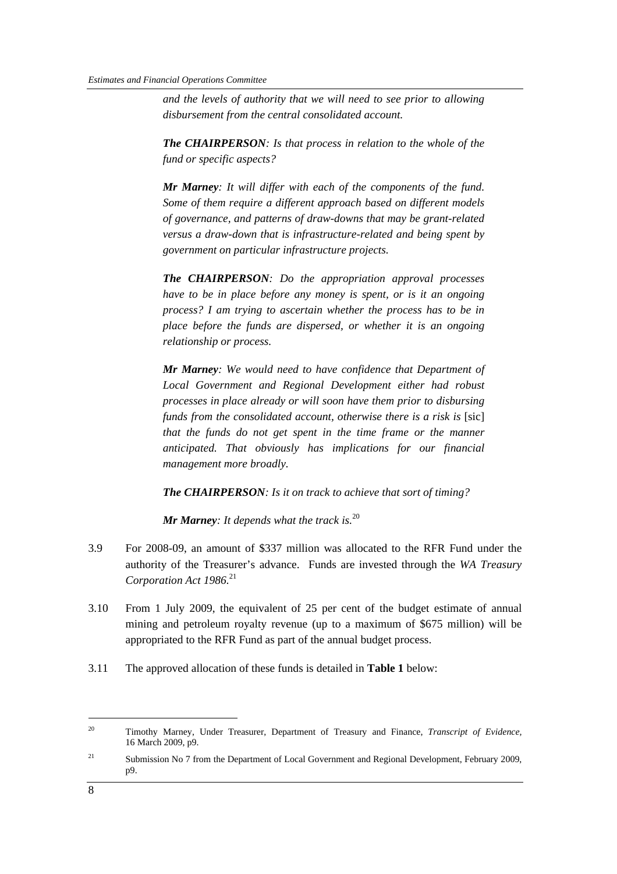*and the levels of authority that we will need to see prior to allowing disbursement from the central consolidated account.* 

*The CHAIRPERSON: Is that process in relation to the whole of the fund or specific aspects?* 

*Mr Marney: It will differ with each of the components of the fund. Some of them require a different approach based on different models of governance, and patterns of draw-downs that may be grant-related versus a draw-down that is infrastructure-related and being spent by government on particular infrastructure projects.* 

*The CHAIRPERSON: Do the appropriation approval processes have to be in place before any money is spent, or is it an ongoing process? I am trying to ascertain whether the process has to be in place before the funds are dispersed, or whether it is an ongoing relationship or process.* 

*Mr Marney: We would need to have confidence that Department of Local Government and Regional Development either had robust processes in place already or will soon have them prior to disbursing funds from the consolidated account, otherwise there is a risk is* [sic] *that the funds do not get spent in the time frame or the manner anticipated. That obviously has implications for our financial management more broadly.* 

*The CHAIRPERSON: Is it on track to achieve that sort of timing?* 

*Mr Marney: It depends what the track is.*<sup>20</sup>

- 3.9 For 2008-09, an amount of \$337 million was allocated to the RFR Fund under the authority of the Treasurer's advance. Funds are invested through the *WA Treasury Corporation Act 1986.*<sup>21</sup>
- 3.10 From 1 July 2009, the equivalent of 25 per cent of the budget estimate of annual mining and petroleum royalty revenue (up to a maximum of \$675 million) will be appropriated to the RFR Fund as part of the annual budget process.
- 3.11 The approved allocation of these funds is detailed in **Table 1** below:

<sup>20</sup> Timothy Marney, Under Treasurer, Department of Treasury and Finance, *Transcript of Evidence,*  16 March 2009, p9.

<sup>&</sup>lt;sup>21</sup> Submission No 7 from the Department of Local Government and Regional Development, February 2009, p9.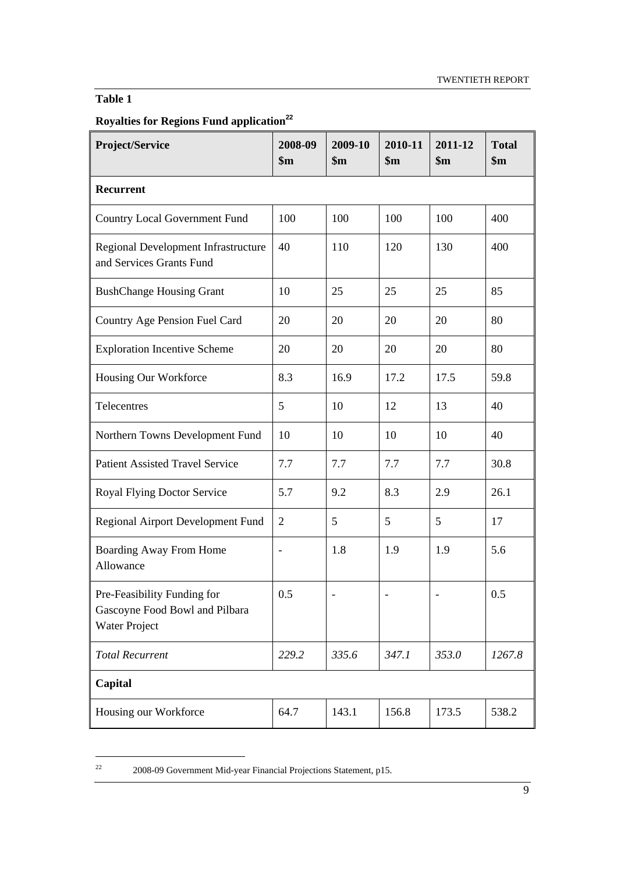### **Table 1**

### **Royalties for Regions Fund application<sup>22</sup>**

| Project/Service                                                                       | 2008-09<br>\$m\$ | 2009-10<br>\$m\$ | 2010-11<br>$\mathbf{\$m}$ | 2011-12<br>$\mathbf{\$m}$ | <b>Total</b><br>$\mathbf{\$m}$ |
|---------------------------------------------------------------------------------------|------------------|------------------|---------------------------|---------------------------|--------------------------------|
| Recurrent                                                                             |                  |                  |                           |                           |                                |
| <b>Country Local Government Fund</b>                                                  | 100              | 100              | 100                       | 100                       | 400                            |
| Regional Development Infrastructure<br>and Services Grants Fund                       | 40               | 110              | 120                       | 130                       | 400                            |
| <b>BushChange Housing Grant</b>                                                       | 10               | 25               | 25                        | 25                        | 85                             |
| Country Age Pension Fuel Card                                                         | 20               | 20               | 20                        | 20                        | 80                             |
| <b>Exploration Incentive Scheme</b>                                                   | 20               | 20               | 20                        | 20                        | 80                             |
| Housing Our Workforce                                                                 | 8.3              | 16.9             | 17.2                      | 17.5                      | 59.8                           |
| Telecentres                                                                           | 5                | 10               | 12                        | 13                        | 40                             |
| Northern Towns Development Fund                                                       | 10               | 10               | 10                        | 10                        | 40                             |
| <b>Patient Assisted Travel Service</b>                                                | 7.7              | 7.7              | 7.7                       | 7.7                       | 30.8                           |
| Royal Flying Doctor Service                                                           | 5.7              | 9.2              | 8.3                       | 2.9                       | 26.1                           |
| <b>Regional Airport Development Fund</b>                                              | $\overline{2}$   | 5                | 5                         | 5                         | 17                             |
| Boarding Away From Home<br>Allowance                                                  | $\blacksquare$   | 1.8              | 1.9                       | 1.9                       | 5.6                            |
| Pre-Feasibility Funding for<br>Gascoyne Food Bowl and Pilbara<br><b>Water Project</b> | 0.5              |                  |                           |                           | 0.5                            |
| <b>Total Recurrent</b>                                                                | 229.2            | 335.6            | 347.1                     | 353.0                     | 1267.8                         |
| Capital                                                                               |                  |                  |                           |                           |                                |
| Housing our Workforce                                                                 | 64.7             | 143.1            | 156.8                     | 173.5                     | 538.2                          |

 $22$ 22 2008-09 Government Mid-year Financial Projections Statement, p15.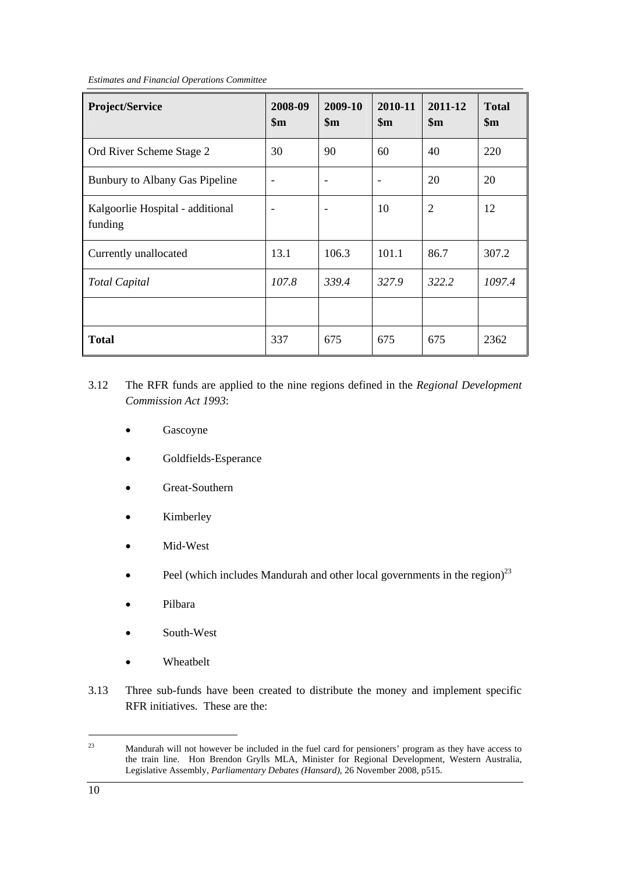*Estimates and Financial Operations Committee* 

| Project/Service                             | 2008-09<br>$\mathbf{\$m}$ | 2009-10<br>$\mathbf{\$m}$ | 2010-11<br>$\mathbf{\$m}$ | 2011-12<br>$\mathbf{\$m}$ | <b>Total</b><br>\$m\$ |
|---------------------------------------------|---------------------------|---------------------------|---------------------------|---------------------------|-----------------------|
| Ord River Scheme Stage 2                    | 30                        | 90                        | 60                        | 40                        | 220                   |
| Bunbury to Albany Gas Pipeline              | $\overline{\phantom{a}}$  | $\overline{\phantom{a}}$  |                           | 20                        | 20                    |
| Kalgoorlie Hospital - additional<br>funding |                           |                           | 10                        | $\overline{2}$            | 12                    |
| Currently unallocated                       | 13.1                      | 106.3                     | 101.1                     | 86.7                      | 307.2                 |
| <b>Total Capital</b>                        | 107.8                     | 339.4                     | 327.9                     | 322.2                     | 1097.4                |
|                                             |                           |                           |                           |                           |                       |
| <b>Total</b>                                | 337                       | 675                       | 675                       | 675                       | 2362                  |

- 3.12 The RFR funds are applied to the nine regions defined in the *Regional Development Commission Act 1993*:
	- Gascoyne
	- Goldfields-Esperance
	- Great-Southern
	- **Kimberley**
	- Mid-West
	- Peel (which includes Mandurah and other local governments in the region) $^{23}$
	- Pilbara
	- South-West
	- Wheatbelt
- 3.13 Three sub-funds have been created to distribute the money and implement specific RFR initiatives. These are the:

<sup>23</sup> Mandurah will not however be included in the fuel card for pensioners' program as they have access to the train line. Hon Brendon Grylls MLA, Minister for Regional Development, Western Australia, Legislative Assembly, *Parliamentary Debates (Hansard)*, 26 November 2008, p515.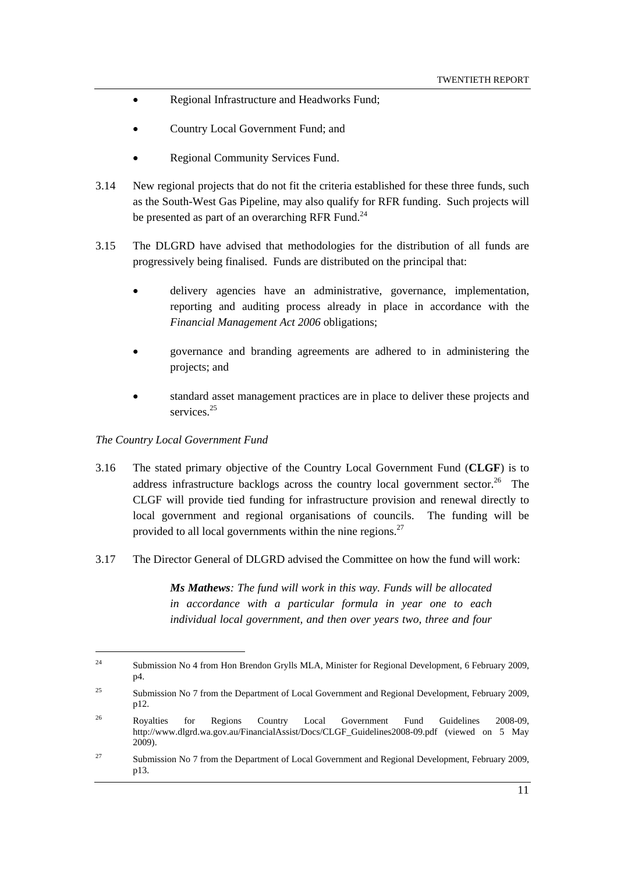- Regional Infrastructure and Headworks Fund;
- Country Local Government Fund; and
- Regional Community Services Fund.
- 3.14 New regional projects that do not fit the criteria established for these three funds, such as the South-West Gas Pipeline, may also qualify for RFR funding. Such projects will be presented as part of an overarching RFR Fund.<sup>24</sup>
- 3.15 The DLGRD have advised that methodologies for the distribution of all funds are progressively being finalised. Funds are distributed on the principal that:
	- delivery agencies have an administrative, governance, implementation, reporting and auditing process already in place in accordance with the *Financial Management Act 2006* obligations;
	- governance and branding agreements are adhered to in administering the projects; and
	- standard asset management practices are in place to deliver these projects and services<sup>25</sup>

#### *The Country Local Government Fund*

- 3.16 The stated primary objective of the Country Local Government Fund (**CLGF**) is to address infrastructure backlogs across the country local government sector.<sup>26</sup> The CLGF will provide tied funding for infrastructure provision and renewal directly to local government and regional organisations of councils. The funding will be provided to all local governments within the nine regions. $27$
- 3.17 The Director General of DLGRD advised the Committee on how the fund will work:

*Ms Mathews: The fund will work in this way. Funds will be allocated in accordance with a particular formula in year one to each individual local government, and then over years two, three and four* 

<sup>&</sup>lt;sup>24</sup> Submission No 4 from Hon Brendon Grylls MLA, Minister for Regional Development, 6 February 2009, p4.

<sup>&</sup>lt;sup>25</sup> Submission No 7 from the Department of Local Government and Regional Development, February 2009, p12.

<sup>&</sup>lt;sup>26</sup> Royalties for Regions Country Local Government Fund Guidelines 2008-09, http://www.dlgrd.wa.gov.au/FinancialAssist/Docs/CLGF\_Guidelines2008-09.pdf (viewed on 5 May 2009).

<sup>&</sup>lt;sup>27</sup> Submission No 7 from the Department of Local Government and Regional Development, February 2009, p13.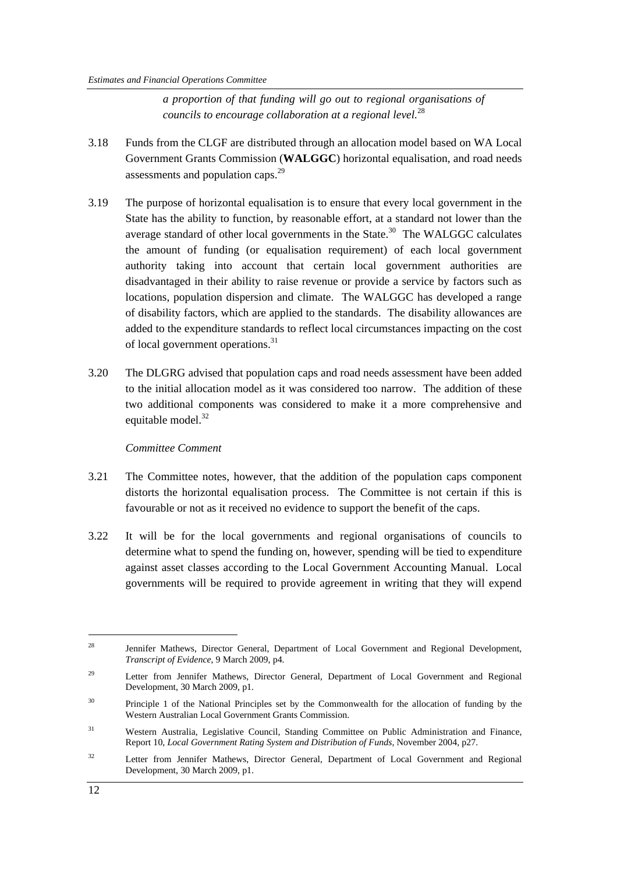*a proportion of that funding will go out to regional organisations of councils to encourage collaboration at a regional level.*<sup>28</sup>

- 3.18 Funds from the CLGF are distributed through an allocation model based on WA Local Government Grants Commission (**WALGGC**) horizontal equalisation, and road needs assessments and population caps.<sup>29</sup>
- 3.19 The purpose of horizontal equalisation is to ensure that every local government in the State has the ability to function, by reasonable effort, at a standard not lower than the average standard of other local governments in the State. $30$  The WALGGC calculates the amount of funding (or equalisation requirement) of each local government authority taking into account that certain local government authorities are disadvantaged in their ability to raise revenue or provide a service by factors such as locations, population dispersion and climate. The WALGGC has developed a range of disability factors, which are applied to the standards. The disability allowances are added to the expenditure standards to reflect local circumstances impacting on the cost of local government operations.<sup>31</sup>
- 3.20 The DLGRG advised that population caps and road needs assessment have been added to the initial allocation model as it was considered too narrow. The addition of these two additional components was considered to make it a more comprehensive and equitable model.<sup>32</sup>

#### *Committee Comment*

- 3.21 The Committee notes, however, that the addition of the population caps component distorts the horizontal equalisation process. The Committee is not certain if this is favourable or not as it received no evidence to support the benefit of the caps.
- 3.22 It will be for the local governments and regional organisations of councils to determine what to spend the funding on, however, spending will be tied to expenditure against asset classes according to the Local Government Accounting Manual. Local governments will be required to provide agreement in writing that they will expend

<sup>&</sup>lt;sup>28</sup> Jennifer Mathews, Director General, Department of Local Government and Regional Development, *Transcript of Evidence*, 9 March 2009, p4.

<sup>&</sup>lt;sup>29</sup> Letter from Jennifer Mathews, Director General, Department of Local Government and Regional Development, 30 March 2009, p1.

<sup>&</sup>lt;sup>30</sup> Principle 1 of the National Principles set by the Commonwealth for the allocation of funding by the Western Australian Local Government Grants Commission.

<sup>&</sup>lt;sup>31</sup> Western Australia, Legislative Council, Standing Committee on Public Administration and Finance, Report 10, *Local Government Rating System and Distribution of Funds,* November 2004, p27.

<sup>&</sup>lt;sup>32</sup> Letter from Jennifer Mathews, Director General, Department of Local Government and Regional Development, 30 March 2009, p1.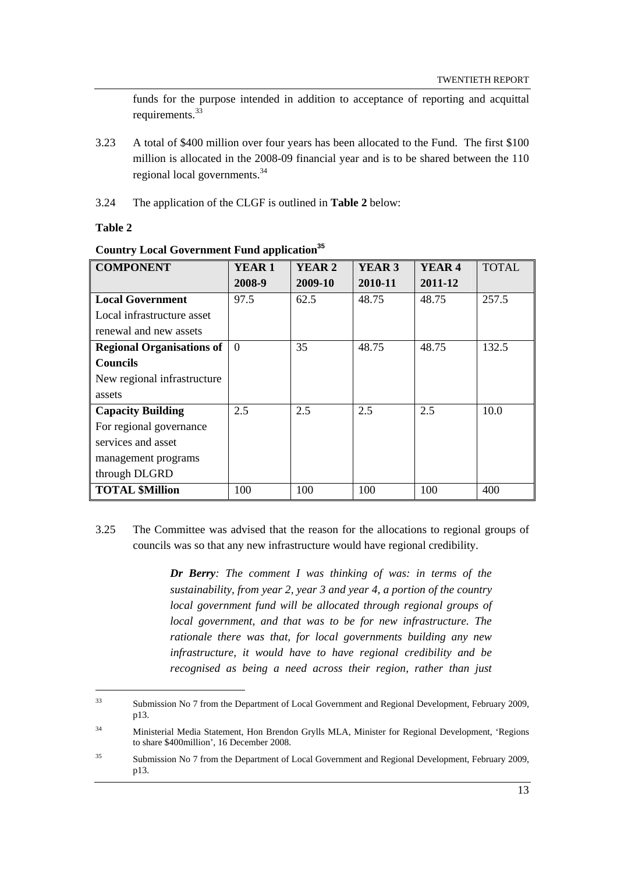funds for the purpose intended in addition to acceptance of reporting and acquittal requirements.<sup>33</sup>

- 3.23 A total of \$400 million over four years has been allocated to the Fund. The first \$100 million is allocated in the 2008-09 financial year and is to be shared between the 110 regional local governments.<sup>34</sup>
- 3.24 The application of the CLGF is outlined in **Table 2** below:

#### **Table 2**

| <b>COMPONENT</b>                 | <b>YEAR1</b>   | YEAR <sub>2</sub> | YEAR <sub>3</sub> | YEAR <sub>4</sub> | <b>TOTAL</b> |
|----------------------------------|----------------|-------------------|-------------------|-------------------|--------------|
|                                  | 2008-9         | 2009-10           | 2010-11           | 2011-12           |              |
| <b>Local Government</b>          | 97.5           | 62.5              | 48.75             | 48.75             | 257.5        |
| Local infrastructure asset       |                |                   |                   |                   |              |
| renewal and new assets           |                |                   |                   |                   |              |
| <b>Regional Organisations of</b> | $\overline{0}$ | 35                | 48.75             | 48.75             | 132.5        |
| <b>Councils</b>                  |                |                   |                   |                   |              |
| New regional infrastructure      |                |                   |                   |                   |              |
| assets                           |                |                   |                   |                   |              |
| <b>Capacity Building</b>         | 2.5            | 2.5               | 2.5               | 2.5               | 10.0         |
| For regional governance          |                |                   |                   |                   |              |
| services and asset               |                |                   |                   |                   |              |
| management programs              |                |                   |                   |                   |              |
| through DLGRD                    |                |                   |                   |                   |              |
| <b>TOTAL \$Million</b>           | 100            | 100               | 100               | 100               | 400          |

#### **Country Local Government Fund application<sup>35</sup>**

3.25 The Committee was advised that the reason for the allocations to regional groups of councils was so that any new infrastructure would have regional credibility.

> *Dr Berry: The comment I was thinking of was: in terms of the sustainability, from year 2, year 3 and year 4, a portion of the country local government fund will be allocated through regional groups of local government, and that was to be for new infrastructure. The rationale there was that, for local governments building any new infrastructure, it would have to have regional credibility and be recognised as being a need across their region, rather than just*

<sup>33</sup> Submission No 7 from the Department of Local Government and Regional Development, February 2009, p13.

<sup>34</sup> Ministerial Media Statement, Hon Brendon Grylls MLA, Minister for Regional Development, 'Regions to share \$400million'*,* 16 December 2008.

<sup>&</sup>lt;sup>35</sup> Submission No 7 from the Department of Local Government and Regional Development, February 2009, p13.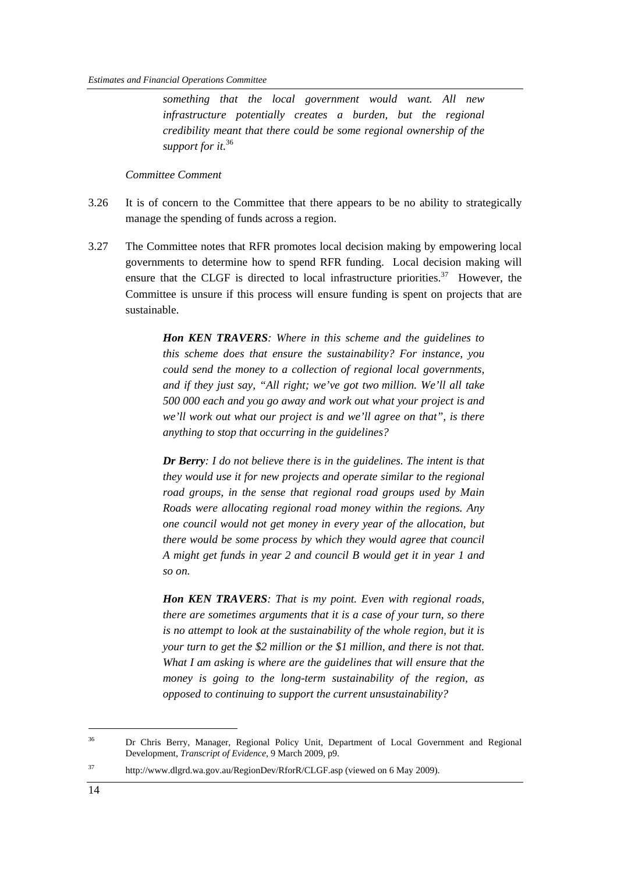*something that the local government would want. All new infrastructure potentially creates a burden, but the regional credibility meant that there could be some regional ownership of the support for it.*<sup>36</sup>

#### *Committee Comment*

- 3.26 It is of concern to the Committee that there appears to be no ability to strategically manage the spending of funds across a region.
- 3.27 The Committee notes that RFR promotes local decision making by empowering local governments to determine how to spend RFR funding. Local decision making will ensure that the CLGF is directed to local infrastructure priorities.<sup>37</sup> However, the Committee is unsure if this process will ensure funding is spent on projects that are sustainable.

*Hon KEN TRAVERS: Where in this scheme and the guidelines to this scheme does that ensure the sustainability? For instance, you could send the money to a collection of regional local governments, and if they just say, "All right; we've got two million. We'll all take 500 000 each and you go away and work out what your project is and we'll work out what our project is and we'll agree on that", is there anything to stop that occurring in the guidelines?* 

*Dr Berry: I do not believe there is in the guidelines. The intent is that they would use it for new projects and operate similar to the regional road groups, in the sense that regional road groups used by Main Roads were allocating regional road money within the regions. Any one council would not get money in every year of the allocation, but there would be some process by which they would agree that council A might get funds in year 2 and council B would get it in year 1 and so on.* 

*Hon KEN TRAVERS: That is my point. Even with regional roads, there are sometimes arguments that it is a case of your turn, so there is no attempt to look at the sustainability of the whole region, but it is your turn to get the \$2 million or the \$1 million, and there is not that. What I am asking is where are the guidelines that will ensure that the money is going to the long-term sustainability of the region, as opposed to continuing to support the current unsustainability?* 

<sup>&</sup>lt;sup>36</sup> Dr Chris Berry, Manager, Regional Policy Unit, Department of Local Government and Regional Development, *Transcript of Evidence*, 9 March 2009, p9.

<sup>37</sup> http://www.dlgrd.wa.gov.au/RegionDev/RforR/CLGF.asp (viewed on 6 May 2009).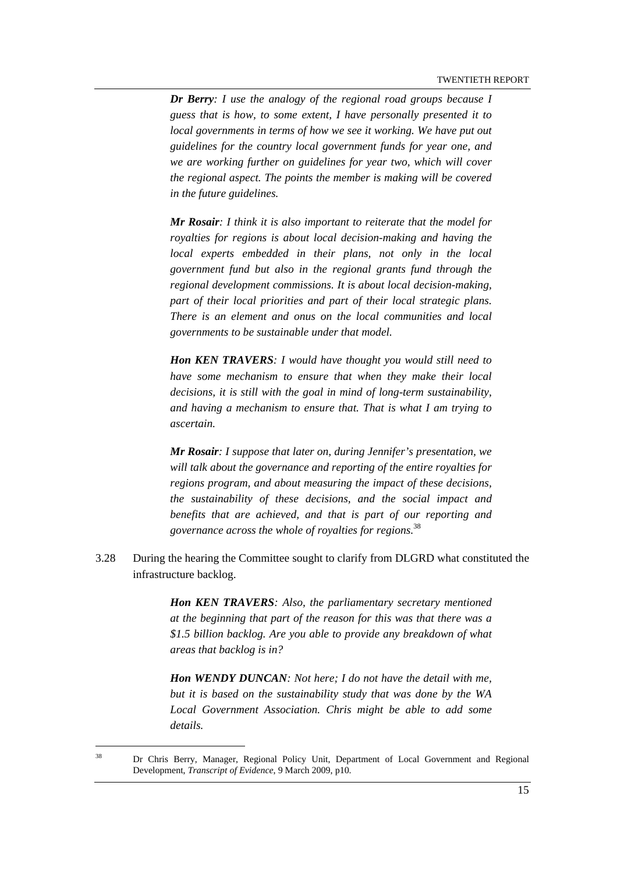*Dr Berry: I use the analogy of the regional road groups because I guess that is how, to some extent, I have personally presented it to local governments in terms of how we see it working. We have put out guidelines for the country local government funds for year one, and we are working further on guidelines for year two, which will cover the regional aspect. The points the member is making will be covered in the future guidelines.* 

*Mr Rosair: I think it is also important to reiterate that the model for royalties for regions is about local decision-making and having the local experts embedded in their plans, not only in the local government fund but also in the regional grants fund through the regional development commissions. It is about local decision-making, part of their local priorities and part of their local strategic plans. There is an element and onus on the local communities and local governments to be sustainable under that model.*

*Hon KEN TRAVERS: I would have thought you would still need to have some mechanism to ensure that when they make their local decisions, it is still with the goal in mind of long-term sustainability, and having a mechanism to ensure that. That is what I am trying to ascertain.* 

*Mr Rosair: I suppose that later on, during Jennifer's presentation, we will talk about the governance and reporting of the entire royalties for regions program, and about measuring the impact of these decisions, the sustainability of these decisions, and the social impact and benefits that are achieved, and that is part of our reporting and governance across the whole of royalties for regions.*<sup>38</sup>

3.28 During the hearing the Committee sought to clarify from DLGRD what constituted the infrastructure backlog.

> *Hon KEN TRAVERS: Also, the parliamentary secretary mentioned at the beginning that part of the reason for this was that there was a \$1.5 billion backlog. Are you able to provide any breakdown of what areas that backlog is in?*

> *Hon WENDY DUNCAN: Not here; I do not have the detail with me, but it is based on the sustainability study that was done by the WA Local Government Association. Chris might be able to add some details.*

<sup>&</sup>lt;sup>38</sup> Dr Chris Berry, Manager, Regional Policy Unit, Department of Local Government and Regional Development, *Transcript of Evidence*, 9 March 2009, p10.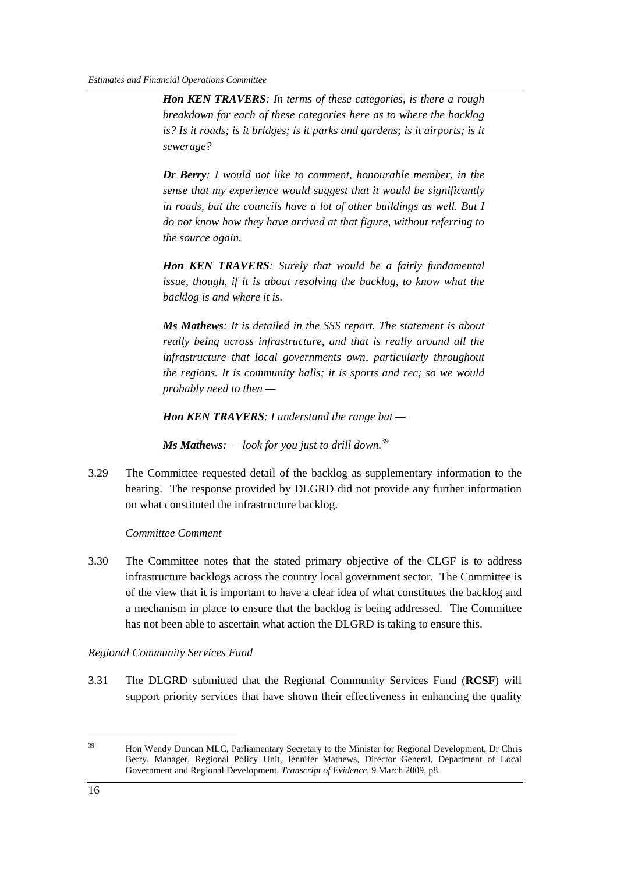*Hon KEN TRAVERS: In terms of these categories, is there a rough breakdown for each of these categories here as to where the backlog is? Is it roads; is it bridges; is it parks and gardens; is it airports; is it sewerage?* 

*Dr Berry: I would not like to comment, honourable member, in the sense that my experience would suggest that it would be significantly in roads, but the councils have a lot of other buildings as well. But I do not know how they have arrived at that figure, without referring to the source again.* 

*Hon KEN TRAVERS: Surely that would be a fairly fundamental issue, though, if it is about resolving the backlog, to know what the backlog is and where it is.* 

*Ms Mathews: It is detailed in the SSS report. The statement is about really being across infrastructure, and that is really around all the infrastructure that local governments own, particularly throughout the regions. It is community halls; it is sports and rec; so we would probably need to then —* 

*Hon KEN TRAVERS: I understand the range but —* 

*Ms Mathews: — look for you just to drill down.*<sup>39</sup>

3.29 The Committee requested detail of the backlog as supplementary information to the hearing. The response provided by DLGRD did not provide any further information on what constituted the infrastructure backlog.

#### *Committee Comment*

3.30 The Committee notes that the stated primary objective of the CLGF is to address infrastructure backlogs across the country local government sector. The Committee is of the view that it is important to have a clear idea of what constitutes the backlog and a mechanism in place to ensure that the backlog is being addressed. The Committee has not been able to ascertain what action the DLGRD is taking to ensure this.

#### *Regional Community Services Fund*

3.31 The DLGRD submitted that the Regional Community Services Fund (**RCSF**) will support priority services that have shown their effectiveness in enhancing the quality

<sup>&</sup>lt;sup>39</sup> Hon Wendy Duncan MLC, Parliamentary Secretary to the Minister for Regional Development, Dr Chris Berry, Manager, Regional Policy Unit, Jennifer Mathews, Director General, Department of Local Government and Regional Development, *Transcript of Evidence*, 9 March 2009, p8.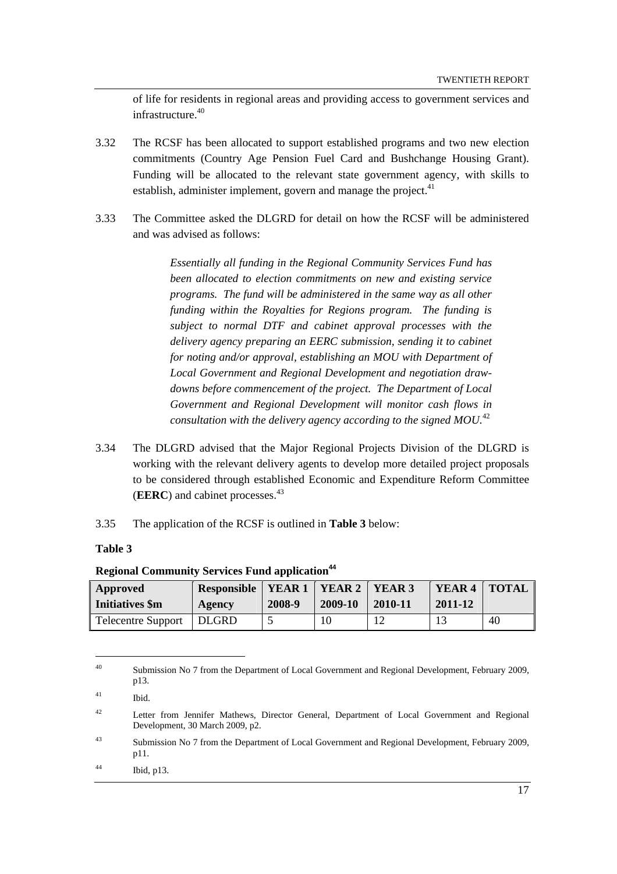of life for residents in regional areas and providing access to government services and infrastructure. $40$ 

- 3.32 The RCSF has been allocated to support established programs and two new election commitments (Country Age Pension Fuel Card and Bushchange Housing Grant). Funding will be allocated to the relevant state government agency, with skills to establish, administer implement, govern and manage the project. $41$
- 3.33 The Committee asked the DLGRD for detail on how the RCSF will be administered and was advised as follows:

*Essentially all funding in the Regional Community Services Fund has been allocated to election commitments on new and existing service programs. The fund will be administered in the same way as all other funding within the Royalties for Regions program. The funding is subject to normal DTF and cabinet approval processes with the delivery agency preparing an EERC submission, sending it to cabinet for noting and/or approval, establishing an MOU with Department of Local Government and Regional Development and negotiation drawdowns before commencement of the project. The Department of Local Government and Regional Development will monitor cash flows in consultation with the delivery agency according to the signed MOU.*<sup>42</sup>

- 3.34 The DLGRD advised that the Major Regional Projects Division of the DLGRD is working with the relevant delivery agents to develop more detailed project proposals to be considered through established Economic and Expenditure Reform Committee (**EERC**) and cabinet processes.<sup>43</sup>
- 3.35 The application of the RCSF is outlined in **Table 3** below:

**Table 3** 

| Approved                  | <b>Responsible</b> | <b>YEAR 1</b> | YEAR 2  | YEAR <sub>3</sub> | YEAR <sub>4</sub> | <b>TOTAL</b> |
|---------------------------|--------------------|---------------|---------|-------------------|-------------------|--------------|
| Initiatives \$m           | Agency             | 2008-9        | 2009-10 | 2010-11           | 2011-12           |              |
| <b>Telecentre Support</b> | <b>DLGRD</b>       |               | 10      |                   |                   | 40           |

#### **Regional Community Services Fund application<sup>44</sup>**

<sup>&</sup>lt;sup>40</sup> Submission No 7 from the Department of Local Government and Regional Development, February 2009, p13.

<sup>41</sup> Ibid.

<sup>&</sup>lt;sup>42</sup> Letter from Jennifer Mathews, Director General, Department of Local Government and Regional Development, 30 March 2009, p2.

<sup>&</sup>lt;sup>43</sup> Submission No 7 from the Department of Local Government and Regional Development, February 2009, p11.

<sup>44</sup> Ibid, p13.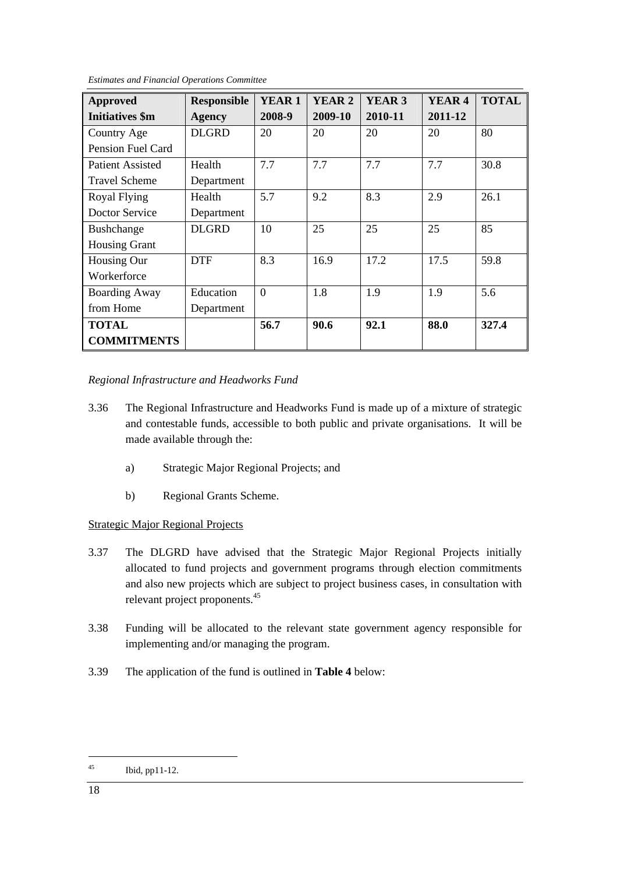| <b>Approved</b>        | <b>Responsible</b> | <b>YEAR1</b> | <b>YEAR 2</b> | YEAR <sub>3</sub> | YEAR <sub>4</sub> | <b>TOTAL</b> |
|------------------------|--------------------|--------------|---------------|-------------------|-------------------|--------------|
| <b>Initiatives</b> \$m | <b>Agency</b>      | 2008-9       | 2009-10       | 2010-11           | 2011-12           |              |
| Country Age            | <b>DLGRD</b>       | 20           | 20            | 20                | 20                | 80           |
| Pension Fuel Card      |                    |              |               |                   |                   |              |
| Patient Assisted       | Health             | 7.7          | 7.7           | 7.7               | 7.7               | 30.8         |
| <b>Travel Scheme</b>   | Department         |              |               |                   |                   |              |
| Royal Flying           | Health             | 5.7          | 9.2           | 8.3               | 2.9               | 26.1         |
| Doctor Service         | Department         |              |               |                   |                   |              |
| <b>Bushchange</b>      | <b>DLGRD</b>       | 10           | 25            | 25                | 25                | 85           |
| <b>Housing Grant</b>   |                    |              |               |                   |                   |              |
| Housing Our            | <b>DTF</b>         | 8.3          | 16.9          | 17.2              | 17.5              | 59.8         |
| Workerforce            |                    |              |               |                   |                   |              |
| <b>Boarding Away</b>   | Education          | $\Omega$     | 1.8           | 1.9               | 1.9               | 5.6          |
| from Home              | Department         |              |               |                   |                   |              |
| <b>TOTAL</b>           |                    | 56.7         | 90.6          | 92.1              | 88.0              | 327.4        |
| <b>COMMITMENTS</b>     |                    |              |               |                   |                   |              |

*Estimates and Financial Operations Committee* 

#### *Regional Infrastructure and Headworks Fund*

- 3.36 The Regional Infrastructure and Headworks Fund is made up of a mixture of strategic and contestable funds, accessible to both public and private organisations. It will be made available through the:
	- a) Strategic Major Regional Projects; and
	- b) Regional Grants Scheme.

#### Strategic Major Regional Projects

- 3.37 The DLGRD have advised that the Strategic Major Regional Projects initially allocated to fund projects and government programs through election commitments and also new projects which are subject to project business cases, in consultation with relevant project proponents.45
- 3.38 Funding will be allocated to the relevant state government agency responsible for implementing and/or managing the program.
- 3.39 The application of the fund is outlined in **Table 4** below:

<sup>45</sup> Ibid, pp11-12.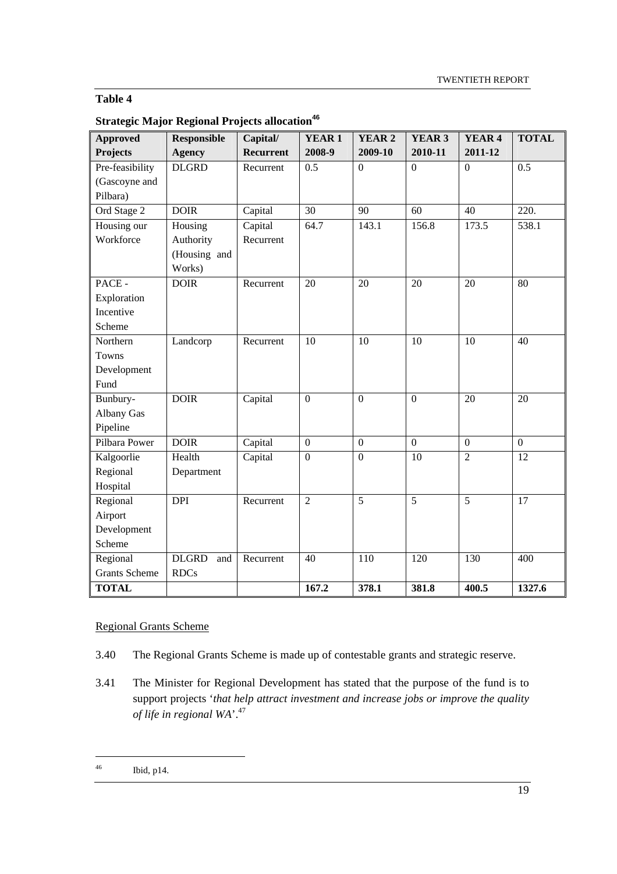### **Table 4**

| <b>Strategic Major Regional Projects allocation<sup>46</sup></b> |  |  |
|------------------------------------------------------------------|--|--|
|                                                                  |  |  |

| <b>Approved</b>      | <b>Responsible</b>  | Capital/         | YEAR <sub>1</sub> | <b>YEAR 2</b>  | <b>YEAR 3</b>    | YEAR <sub>4</sub> | <b>TOTAL</b>    |
|----------------------|---------------------|------------------|-------------------|----------------|------------------|-------------------|-----------------|
| <b>Projects</b>      | <b>Agency</b>       | <b>Recurrent</b> | 2008-9            | 2009-10        | 2010-11          | 2011-12           |                 |
| Pre-feasibility      | <b>DLGRD</b>        | Recurrent        | 0.5               | $\mathbf{0}$   | $\boldsymbol{0}$ | $\mathbf{0}$      | 0.5             |
| (Gascoyne and        |                     |                  |                   |                |                  |                   |                 |
| Pilbara)             |                     |                  |                   |                |                  |                   |                 |
| Ord Stage 2          | <b>DOIR</b>         | Capital          | 30                | 90             | 60               | 40                | 220.            |
| Housing our          | Housing             | Capital          | 64.7              | 143.1          | 156.8            | 173.5             | 538.1           |
| Workforce            | Authority           | Recurrent        |                   |                |                  |                   |                 |
|                      | (Housing and        |                  |                   |                |                  |                   |                 |
|                      | Works)              |                  |                   |                |                  |                   |                 |
| PACE -               | <b>DOIR</b>         | Recurrent        | 20                | 20             | 20               | 20                | 80              |
| Exploration          |                     |                  |                   |                |                  |                   |                 |
| Incentive            |                     |                  |                   |                |                  |                   |                 |
| Scheme               |                     |                  |                   |                |                  |                   |                 |
| Northern             | Landcorp            | Recurrent        | 10                | 10             | 10               | 10                | 40              |
| <b>Towns</b>         |                     |                  |                   |                |                  |                   |                 |
| Development          |                     |                  |                   |                |                  |                   |                 |
| Fund                 |                     |                  |                   |                |                  |                   |                 |
| Bunbury-             | <b>DOIR</b>         | Capital          | $\boldsymbol{0}$  | $\mathbf{0}$   | $\boldsymbol{0}$ | 20                | 20              |
| Albany Gas           |                     |                  |                   |                |                  |                   |                 |
| Pipeline             |                     |                  |                   |                |                  |                   |                 |
| Pilbara Power        | <b>DOIR</b>         | Capital          | $\boldsymbol{0}$  | $\mathbf{0}$   | $\overline{0}$   | $\boldsymbol{0}$  | $\overline{0}$  |
| Kalgoorlie           | Health              | Capital          | $\overline{0}$    | $\overline{0}$ | $\overline{10}$  | $\overline{2}$    | $\overline{12}$ |
| Regional             | Department          |                  |                   |                |                  |                   |                 |
| Hospital             |                     |                  |                   |                |                  |                   |                 |
| Regional             | <b>DPI</b>          | Recurrent        | $\overline{2}$    | $\overline{5}$ | $\overline{5}$   | $\overline{5}$    | $\overline{17}$ |
| Airport              |                     |                  |                   |                |                  |                   |                 |
| Development          |                     |                  |                   |                |                  |                   |                 |
| Scheme               |                     |                  |                   |                |                  |                   |                 |
| Regional             | <b>DLGRD</b><br>and | Recurrent        | 40                | 110            | 120              | 130               | 400             |
| <b>Grants Scheme</b> | <b>RDCs</b>         |                  |                   |                |                  |                   |                 |
| <b>TOTAL</b>         |                     |                  | 167.2             | 378.1          | 381.8            | 400.5             | 1327.6          |

#### Regional Grants Scheme

- 3.40 The Regional Grants Scheme is made up of contestable grants and strategic reserve.
- 3.41 The Minister for Regional Development has stated that the purpose of the fund is to support projects '*that help attract investment and increase jobs or improve the quality of life in regional WA*'.47

<sup>46</sup> Ibid, p14.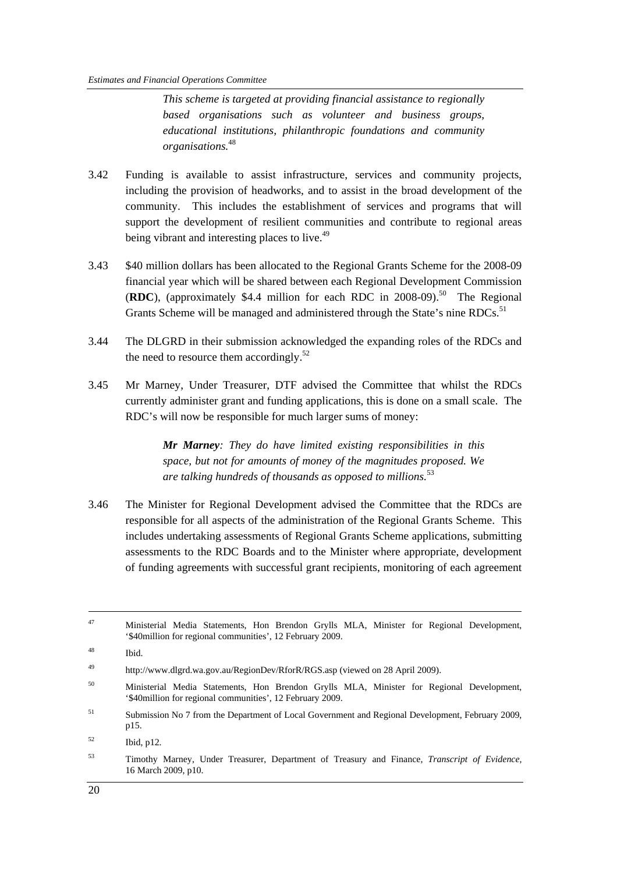*This scheme is targeted at providing financial assistance to regionally based organisations such as volunteer and business groups, educational institutions, philanthropic foundations and community organisations.*<sup>48</sup>

- 3.42 Funding is available to assist infrastructure, services and community projects, including the provision of headworks, and to assist in the broad development of the community. This includes the establishment of services and programs that will support the development of resilient communities and contribute to regional areas being vibrant and interesting places to live.<sup>49</sup>
- 3.43 \$40 million dollars has been allocated to the Regional Grants Scheme for the 2008-09 financial year which will be shared between each Regional Development Commission (**RDC**), (approximately \$4.4 million for each RDC in 2008-09).<sup>50</sup> The Regional Grants Scheme will be managed and administered through the State's nine RDCs.<sup>51</sup>
- 3.44 The DLGRD in their submission acknowledged the expanding roles of the RDCs and the need to resource them accordingly. $52$
- 3.45 Mr Marney, Under Treasurer, DTF advised the Committee that whilst the RDCs currently administer grant and funding applications, this is done on a small scale. The RDC's will now be responsible for much larger sums of money:

*Mr Marney: They do have limited existing responsibilities in this space, but not for amounts of money of the magnitudes proposed. We are talking hundreds of thousands as opposed to millions.*<sup>53</sup>

3.46 The Minister for Regional Development advised the Committee that the RDCs are responsible for all aspects of the administration of the Regional Grants Scheme. This includes undertaking assessments of Regional Grants Scheme applications, submitting assessments to the RDC Boards and to the Minister where appropriate, development of funding agreements with successful grant recipients, monitoring of each agreement

 <sup>47</sup> Ministerial Media Statements, Hon Brendon Grylls MLA, Minister for Regional Development, '\$40million for regional communities', 12 February 2009.

<sup>48</sup> Ibid.

<sup>49</sup> http://www.dlgrd.wa.gov.au/RegionDev/RforR/RGS.asp (viewed on 28 April 2009).

<sup>&</sup>lt;sup>50</sup> Ministerial Media Statements, Hon Brendon Grylls MLA, Minister for Regional Development, '\$40million for regional communities', 12 February 2009.

<sup>51</sup> Submission No 7 from the Department of Local Government and Regional Development, February 2009, p15.

 $^{52}$  Ibid, p12.

<sup>53</sup> Timothy Marney, Under Treasurer, Department of Treasury and Finance, *Transcript of Evidence,*  16 March 2009, p10.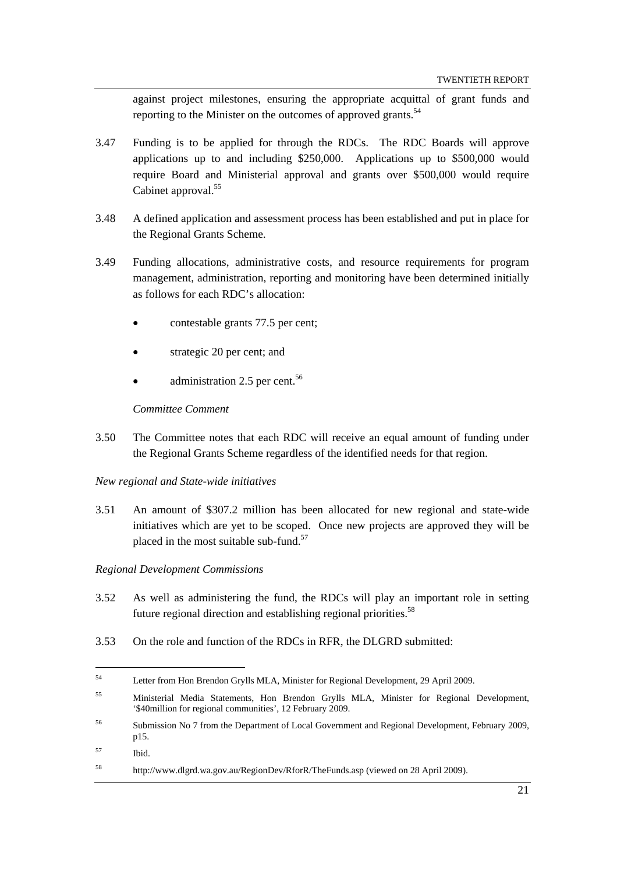against project milestones, ensuring the appropriate acquittal of grant funds and reporting to the Minister on the outcomes of approved grants.<sup>54</sup>

- 3.47 Funding is to be applied for through the RDCs. The RDC Boards will approve applications up to and including \$250,000. Applications up to \$500,000 would require Board and Ministerial approval and grants over \$500,000 would require Cabinet approval.<sup>55</sup>
- 3.48 A defined application and assessment process has been established and put in place for the Regional Grants Scheme.
- 3.49 Funding allocations, administrative costs, and resource requirements for program management, administration, reporting and monitoring have been determined initially as follows for each RDC's allocation:
	- contestable grants 77.5 per cent;
	- strategic 20 per cent; and
	- administration 2.5 per cent.<sup>56</sup>

#### *Committee Comment*

- 3.50 The Committee notes that each RDC will receive an equal amount of funding under the Regional Grants Scheme regardless of the identified needs for that region.
- *New regional and State-wide initiatives*
- 3.51 An amount of \$307.2 million has been allocated for new regional and state-wide initiatives which are yet to be scoped. Once new projects are approved they will be placed in the most suitable sub-fund.<sup>57</sup>

#### *Regional Development Commissions*

- 3.52 As well as administering the fund, the RDCs will play an important role in setting future regional direction and establishing regional priorities.<sup>58</sup>
- 3.53 On the role and function of the RDCs in RFR, the DLGRD submitted:

- 56 Submission No 7 from the Department of Local Government and Regional Development, February 2009, p15.
- 57 Ibid.

<sup>54</sup> Letter from Hon Brendon Grylls MLA, Minister for Regional Development, 29 April 2009.

<sup>55</sup> Ministerial Media Statements, Hon Brendon Grylls MLA, Minister for Regional Development, '\$40million for regional communities', 12 February 2009.

<sup>58</sup> http://www.dlgrd.wa.gov.au/RegionDev/RforR/TheFunds.asp (viewed on 28 April 2009).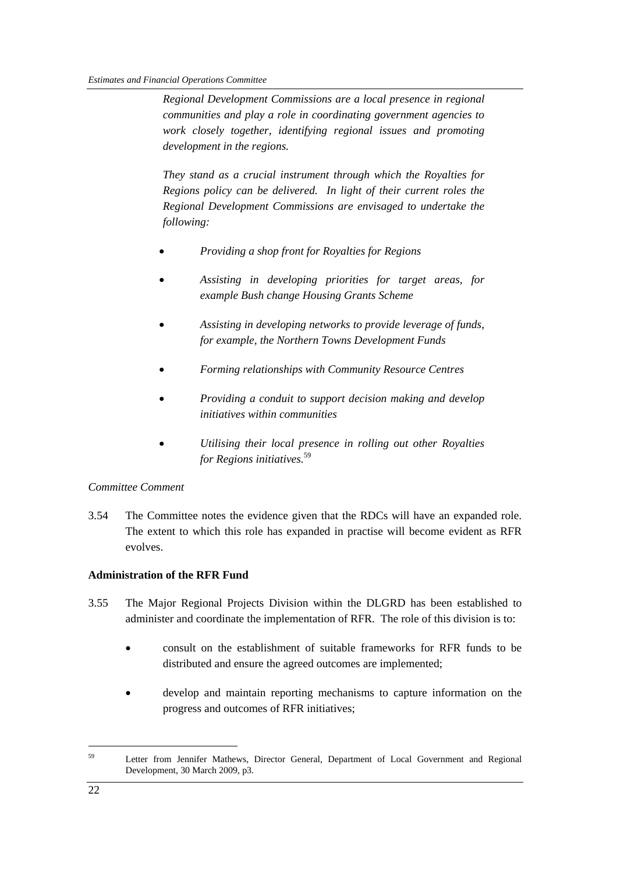*Regional Development Commissions are a local presence in regional communities and play a role in coordinating government agencies to work closely together, identifying regional issues and promoting development in the regions.* 

*They stand as a crucial instrument through which the Royalties for Regions policy can be delivered. In light of their current roles the Regional Development Commissions are envisaged to undertake the following:* 

- *Providing a shop front for Royalties for Regions*
- *Assisting in developing priorities for target areas, for example Bush change Housing Grants Scheme*
- *Assisting in developing networks to provide leverage of funds, for example, the Northern Towns Development Funds*
- *Forming relationships with Community Resource Centres*
- *Providing a conduit to support decision making and develop initiatives within communities*
- *Utilising their local presence in rolling out other Royalties for Regions initiatives.*<sup>59</sup>

#### *Committee Comment*

3.54 The Committee notes the evidence given that the RDCs will have an expanded role. The extent to which this role has expanded in practise will become evident as RFR evolves.

#### **Administration of the RFR Fund**

- 3.55 The Major Regional Projects Division within the DLGRD has been established to administer and coordinate the implementation of RFR. The role of this division is to:
	- consult on the establishment of suitable frameworks for RFR funds to be distributed and ensure the agreed outcomes are implemented;
	- develop and maintain reporting mechanisms to capture information on the progress and outcomes of RFR initiatives;

<sup>&</sup>lt;sup>59</sup> Letter from Jennifer Mathews, Director General, Department of Local Government and Regional Development, 30 March 2009, p3.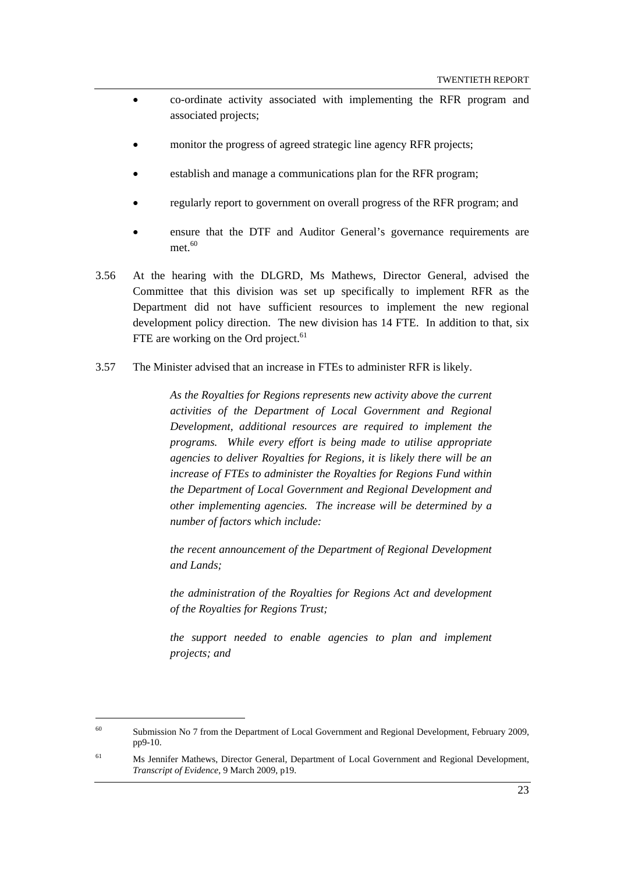- co-ordinate activity associated with implementing the RFR program and associated projects;
- monitor the progress of agreed strategic line agency RFR projects;
- establish and manage a communications plan for the RFR program;
- regularly report to government on overall progress of the RFR program; and
- ensure that the DTF and Auditor General's governance requirements are met $60$
- 3.56 At the hearing with the DLGRD, Ms Mathews, Director General, advised the Committee that this division was set up specifically to implement RFR as the Department did not have sufficient resources to implement the new regional development policy direction. The new division has 14 FTE. In addition to that, six FTE are working on the Ord project. $61$
- 3.57 The Minister advised that an increase in FTEs to administer RFR is likely.

*As the Royalties for Regions represents new activity above the current activities of the Department of Local Government and Regional Development, additional resources are required to implement the programs. While every effort is being made to utilise appropriate agencies to deliver Royalties for Regions, it is likely there will be an increase of FTEs to administer the Royalties for Regions Fund within the Department of Local Government and Regional Development and other implementing agencies. The increase will be determined by a number of factors which include:* 

*the recent announcement of the Department of Regional Development and Lands;* 

*the administration of the Royalties for Regions Act and development of the Royalties for Regions Trust;* 

*the support needed to enable agencies to plan and implement projects; and* 

<sup>60</sup> Submission No 7 from the Department of Local Government and Regional Development, February 2009, pp9-10.

<sup>61</sup> Ms Jennifer Mathews, Director General*,* Department of Local Government and Regional Development, *Transcript of Evidence,* 9 March 2009, p19.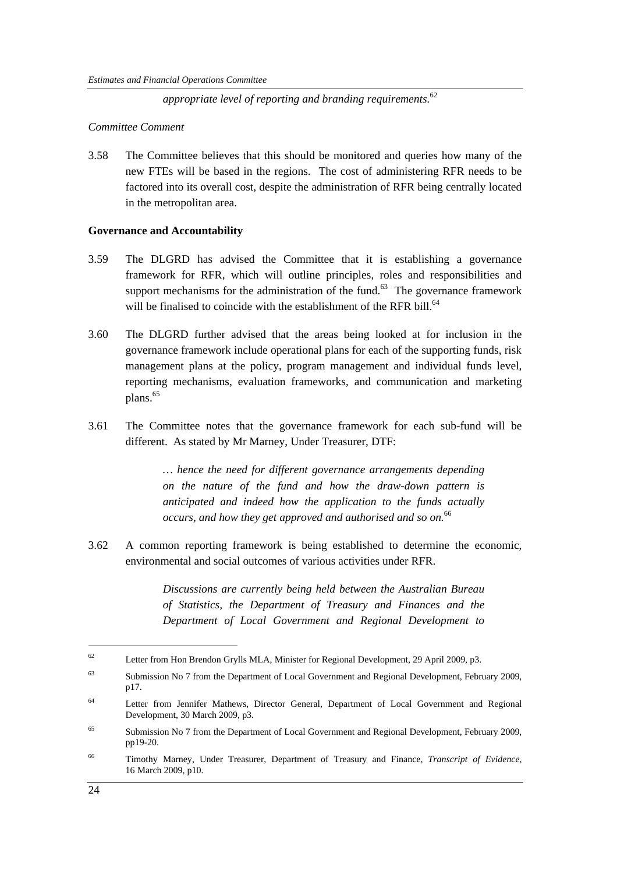*appropriate level of reporting and branding requirements.*<sup>62</sup>

#### *Committee Comment*

3.58 The Committee believes that this should be monitored and queries how many of the new FTEs will be based in the regions. The cost of administering RFR needs to be factored into its overall cost, despite the administration of RFR being centrally located in the metropolitan area.

#### **Governance and Accountability**

- 3.59 The DLGRD has advised the Committee that it is establishing a governance framework for RFR, which will outline principles, roles and responsibilities and support mechanisms for the administration of the fund.<sup>63</sup> The governance framework will be finalised to coincide with the establishment of the RFR bill.<sup>64</sup>
- 3.60 The DLGRD further advised that the areas being looked at for inclusion in the governance framework include operational plans for each of the supporting funds, risk management plans at the policy, program management and individual funds level, reporting mechanisms, evaluation frameworks, and communication and marketing plans.<sup>65</sup>
- 3.61 The Committee notes that the governance framework for each sub-fund will be different. As stated by Mr Marney, Under Treasurer, DTF:

*… hence the need for different governance arrangements depending on the nature of the fund and how the draw-down pattern is anticipated and indeed how the application to the funds actually occurs, and how they get approved and authorised and so on.*<sup>66</sup>

3.62 A common reporting framework is being established to determine the economic, environmental and social outcomes of various activities under RFR.

> *Discussions are currently being held between the Australian Bureau of Statistics, the Department of Treasury and Finances and the Department of Local Government and Regional Development to*

<sup>62</sup> Letter from Hon Brendon Grylls MLA, Minister for Regional Development, 29 April 2009, p3.

<sup>63</sup> Submission No 7 from the Department of Local Government and Regional Development, February 2009, p17.

<sup>&</sup>lt;sup>64</sup> Letter from Jennifer Mathews, Director General, Department of Local Government and Regional Development, 30 March 2009, p3.

<sup>&</sup>lt;sup>65</sup> Submission No 7 from the Department of Local Government and Regional Development, February 2009, pp19-20.

<sup>66</sup> Timothy Marney, Under Treasurer, Department of Treasury and Finance, *Transcript of Evidence,*  16 March 2009, p10.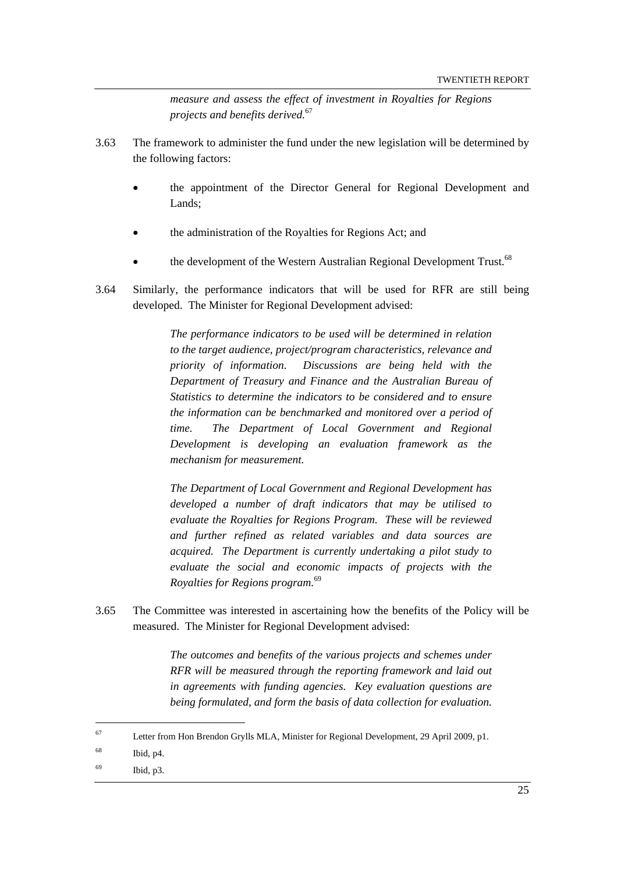*measure and assess the effect of investment in Royalties for Regions projects and benefits derived.*<sup>67</sup>

- 3.63 The framework to administer the fund under the new legislation will be determined by the following factors:
	- the appointment of the Director General for Regional Development and Lands;
	- the administration of the Royalties for Regions Act; and
	- the development of the Western Australian Regional Development Trust.<sup>68</sup>
- 3.64 Similarly, the performance indicators that will be used for RFR are still being developed. The Minister for Regional Development advised:

*The performance indicators to be used will be determined in relation to the target audience, project/program characteristics, relevance and priority of information. Discussions are being held with the Department of Treasury and Finance and the Australian Bureau of Statistics to determine the indicators to be considered and to ensure the information can be benchmarked and monitored over a period of time. The Department of Local Government and Regional Development is developing an evaluation framework as the mechanism for measurement.* 

*The Department of Local Government and Regional Development has developed a number of draft indicators that may be utilised to evaluate the Royalties for Regions Program. These will be reviewed and further refined as related variables and data sources are acquired. The Department is currently undertaking a pilot study to evaluate the social and economic impacts of projects with the Royalties for Regions program.*<sup>69</sup>

3.65 The Committee was interested in ascertaining how the benefits of the Policy will be measured. The Minister for Regional Development advised:

> *The outcomes and benefits of the various projects and schemes under RFR will be measured through the reporting framework and laid out in agreements with funding agencies. Key evaluation questions are being formulated, and form the basis of data collection for evaluation.*

<sup>67</sup> Letter from Hon Brendon Grylls MLA, Minister for Regional Development, 29 April 2009, p1.

<sup>68</sup> Ibid, p4.

<sup>69</sup> Ibid, p3.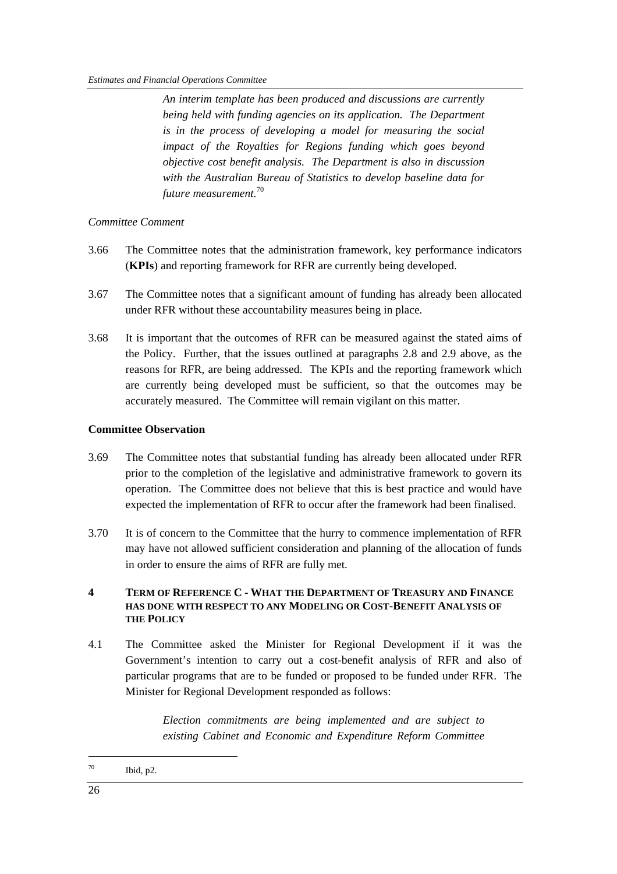*An interim template has been produced and discussions are currently being held with funding agencies on its application. The Department is in the process of developing a model for measuring the social impact of the Royalties for Regions funding which goes beyond objective cost benefit analysis. The Department is also in discussion with the Australian Bureau of Statistics to develop baseline data for future measurement.*<sup>70</sup>

#### *Committee Comment*

- 3.66 The Committee notes that the administration framework, key performance indicators (**KPIs**) and reporting framework for RFR are currently being developed.
- 3.67 The Committee notes that a significant amount of funding has already been allocated under RFR without these accountability measures being in place.
- 3.68 It is important that the outcomes of RFR can be measured against the stated aims of the Policy. Further, that the issues outlined at paragraphs 2.8 and 2.9 above, as the reasons for RFR, are being addressed. The KPIs and the reporting framework which are currently being developed must be sufficient, so that the outcomes may be accurately measured. The Committee will remain vigilant on this matter.

#### **Committee Observation**

- 3.69 The Committee notes that substantial funding has already been allocated under RFR prior to the completion of the legislative and administrative framework to govern its operation. The Committee does not believe that this is best practice and would have expected the implementation of RFR to occur after the framework had been finalised.
- 3.70 It is of concern to the Committee that the hurry to commence implementation of RFR may have not allowed sufficient consideration and planning of the allocation of funds in order to ensure the aims of RFR are fully met.

#### **4 TERM OF REFERENCE C - WHAT THE DEPARTMENT OF TREASURY AND FINANCE HAS DONE WITH RESPECT TO ANY MODELING OR COST-BENEFIT ANALYSIS OF THE POLICY**

4.1 The Committee asked the Minister for Regional Development if it was the Government's intention to carry out a cost-benefit analysis of RFR and also of particular programs that are to be funded or proposed to be funded under RFR. The Minister for Regional Development responded as follows:

> *Election commitments are being implemented and are subject to existing Cabinet and Economic and Expenditure Reform Committee*

 $70$  Ibid, p2.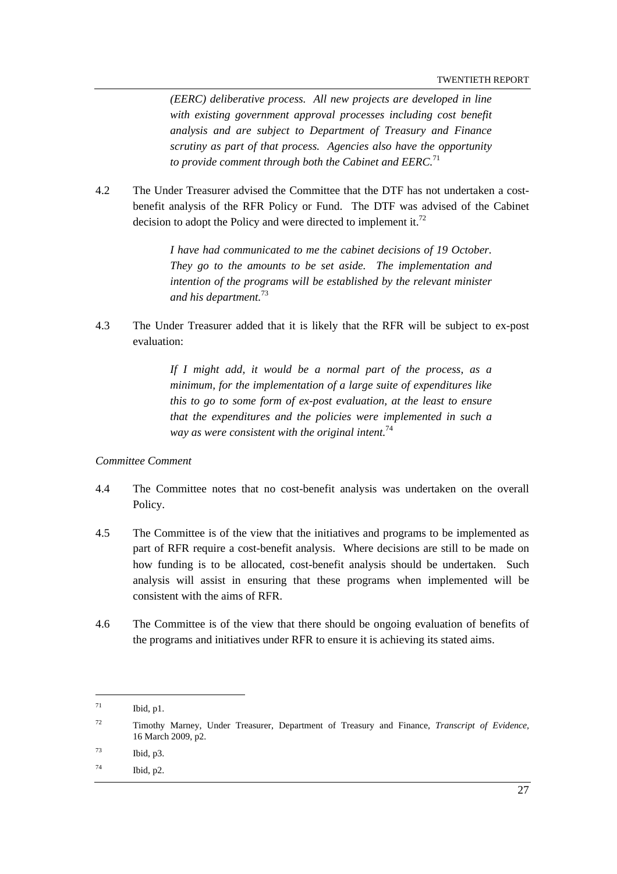*(EERC) deliberative process. All new projects are developed in line with existing government approval processes including cost benefit analysis and are subject to Department of Treasury and Finance scrutiny as part of that process. Agencies also have the opportunity to provide comment through both the Cabinet and EERC.*<sup>71</sup>

4.2 The Under Treasurer advised the Committee that the DTF has not undertaken a costbenefit analysis of the RFR Policy or Fund. The DTF was advised of the Cabinet decision to adopt the Policy and were directed to implement it.<sup>72</sup>

> *I have had communicated to me the cabinet decisions of 19 October. They go to the amounts to be set aside. The implementation and intention of the programs will be established by the relevant minister and his department.*<sup>73</sup>

4.3 The Under Treasurer added that it is likely that the RFR will be subject to ex-post evaluation:

> *If I might add, it would be a normal part of the process, as a minimum, for the implementation of a large suite of expenditures like this to go to some form of ex-post evaluation, at the least to ensure that the expenditures and the policies were implemented in such a way as were consistent with the original intent.*<sup>74</sup>

#### *Committee Comment*

- 4.4 The Committee notes that no cost-benefit analysis was undertaken on the overall Policy.
- 4.5 The Committee is of the view that the initiatives and programs to be implemented as part of RFR require a cost-benefit analysis. Where decisions are still to be made on how funding is to be allocated, cost-benefit analysis should be undertaken. Such analysis will assist in ensuring that these programs when implemented will be consistent with the aims of RFR.
- 4.6 The Committee is of the view that there should be ongoing evaluation of benefits of the programs and initiatives under RFR to ensure it is achieving its stated aims.

 $^{71}$  Ibid, p1.

<sup>72</sup> Timothy Marney, Under Treasurer, Department of Treasury and Finance, *Transcript of Evidence,*  16 March 2009, p2.

 $^{73}$  Ibid, p3.

 $^{74}$  Ibid, p2.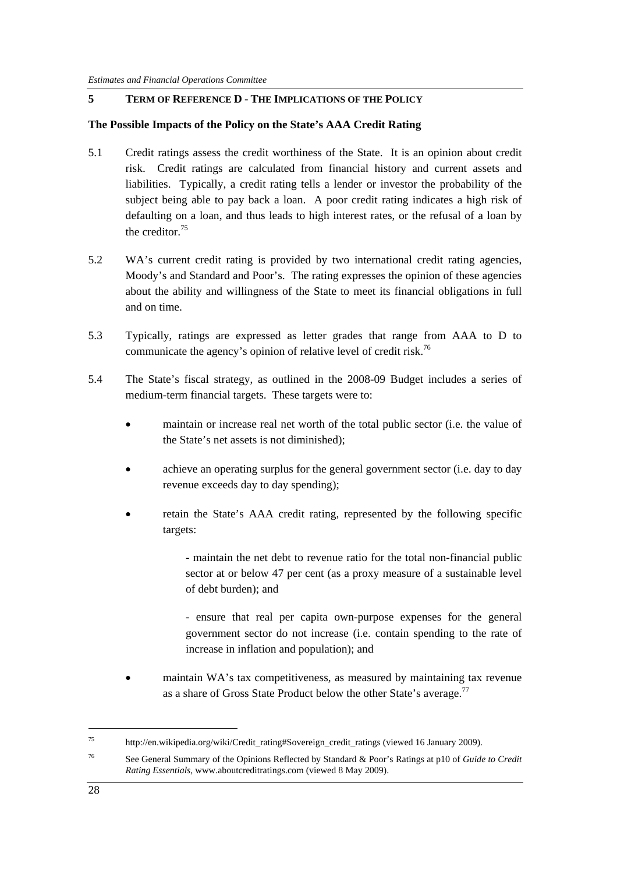#### **5 TERM OF REFERENCE D - THE IMPLICATIONS OF THE POLICY**

#### **The Possible Impacts of the Policy on the State's AAA Credit Rating**

- 5.1 Credit ratings assess the credit worthiness of the State. It is an opinion about credit risk. Credit ratings are calculated from financial history and current assets and liabilities. Typically, a credit rating tells a lender or investor the probability of the subject being able to pay back a loan. A poor credit rating indicates a high risk of defaulting on a loan, and thus leads to high interest rates, or the refusal of a loan by the creditor<sup>75</sup>
- 5.2 WA's current credit rating is provided by two international credit rating agencies, Moody's and Standard and Poor's. The rating expresses the opinion of these agencies about the ability and willingness of the State to meet its financial obligations in full and on time.
- 5.3 Typically, ratings are expressed as letter grades that range from AAA to D to communicate the agency's opinion of relative level of credit risk.<sup>76</sup>
- 5.4 The State's fiscal strategy, as outlined in the 2008-09 Budget includes a series of medium-term financial targets. These targets were to:
	- maintain or increase real net worth of the total public sector (i.e. the value of the State's net assets is not diminished);
	- achieve an operating surplus for the general government sector (i.e. day to day revenue exceeds day to day spending);
	- retain the State's AAA credit rating, represented by the following specific targets:
		- maintain the net debt to revenue ratio for the total non-financial public sector at or below 47 per cent (as a proxy measure of a sustainable level of debt burden); and
		- ensure that real per capita own-purpose expenses for the general government sector do not increase (i.e. contain spending to the rate of increase in inflation and population); and
	- maintain WA's tax competitiveness, as measured by maintaining tax revenue as a share of Gross State Product below the other State's average.<sup>77</sup>

<sup>75</sup> http://en.wikipedia.org/wiki/Credit\_rating#Sovereign\_credit\_ratings (viewed 16 January 2009).

<sup>76</sup> See General Summary of the Opinions Reflected by Standard & Poor's Ratings at p10 of *Guide to Credit Rating Essentials*, www.aboutcreditratings.com (viewed 8 May 2009).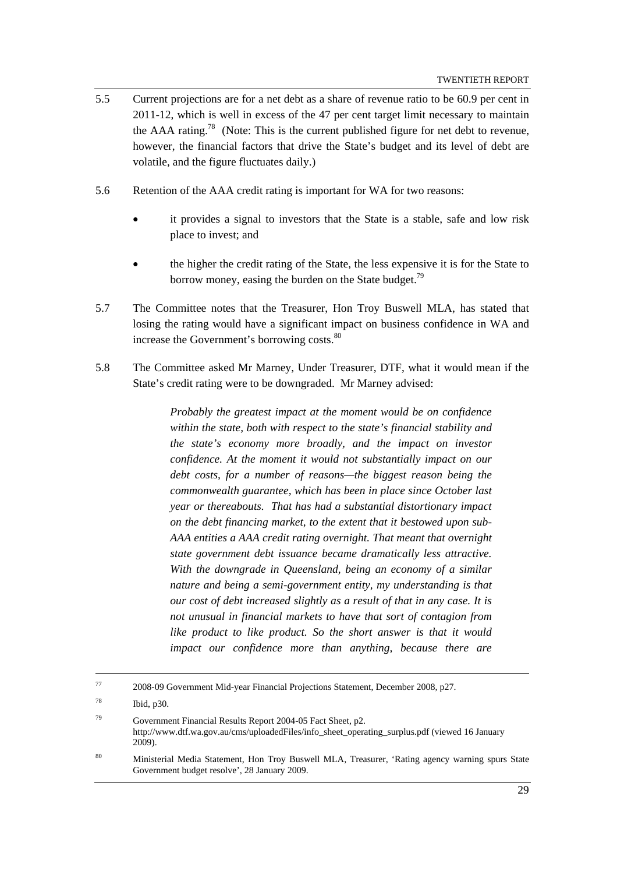- 5.5 Current projections are for a net debt as a share of revenue ratio to be 60.9 per cent in 2011-12, which is well in excess of the 47 per cent target limit necessary to maintain the AAA rating.<sup>78</sup> (Note: This is the current published figure for net debt to revenue, however, the financial factors that drive the State's budget and its level of debt are volatile, and the figure fluctuates daily.)
- 5.6 Retention of the AAA credit rating is important for WA for two reasons:
	- it provides a signal to investors that the State is a stable, safe and low risk place to invest; and
	- the higher the credit rating of the State, the less expensive it is for the State to borrow money, easing the burden on the State budget.<sup>79</sup>
- 5.7 The Committee notes that the Treasurer, Hon Troy Buswell MLA, has stated that losing the rating would have a significant impact on business confidence in WA and increase the Government's borrowing costs.<sup>80</sup>
- 5.8 The Committee asked Mr Marney, Under Treasurer, DTF, what it would mean if the State's credit rating were to be downgraded. Mr Marney advised:

*Probably the greatest impact at the moment would be on confidence within the state, both with respect to the state's financial stability and the state's economy more broadly, and the impact on investor confidence. At the moment it would not substantially impact on our debt costs, for a number of reasons—the biggest reason being the commonwealth guarantee, which has been in place since October last year or thereabouts. That has had a substantial distortionary impact on the debt financing market, to the extent that it bestowed upon sub-AAA entities a AAA credit rating overnight. That meant that overnight state government debt issuance became dramatically less attractive. With the downgrade in Queensland, being an economy of a similar nature and being a semi-government entity, my understanding is that our cost of debt increased slightly as a result of that in any case. It is not unusual in financial markets to have that sort of contagion from like product to like product. So the short answer is that it would impact our confidence more than anything, because there are* 

 <sup>77 2008-09</sup> Government Mid-year Financial Projections Statement, December 2008, p27.

<sup>78</sup> Ibid, p30.

<sup>79</sup> Government Financial Results Report 2004-05 Fact Sheet, p2. http://www.dtf.wa.gov.au/cms/uploadedFiles/info\_sheet\_operating\_surplus.pdf (viewed 16 January 2009).

<sup>80</sup> Ministerial Media Statement, Hon Troy Buswell MLA, Treasurer, 'Rating agency warning spurs State Government budget resolve', 28 January 2009.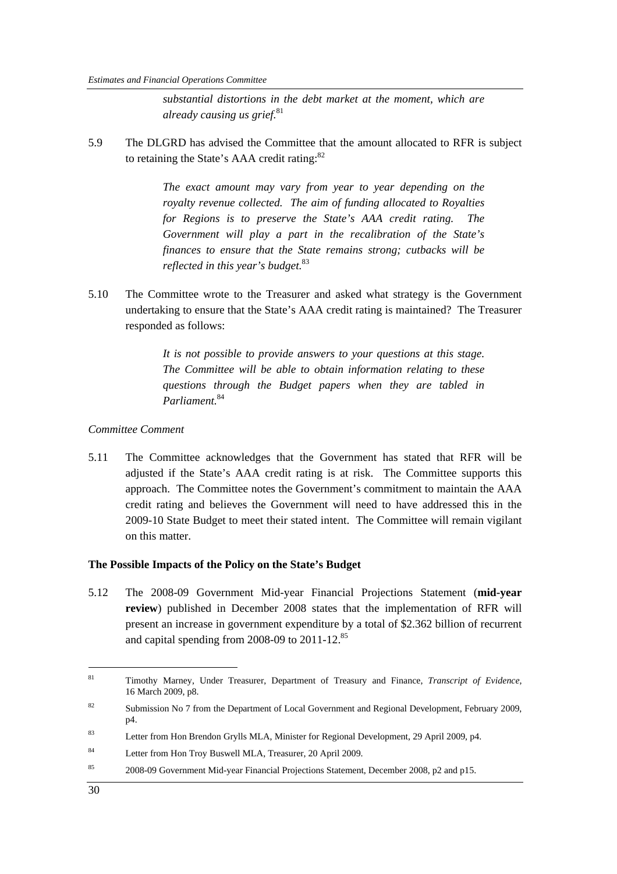*substantial distortions in the debt market at the moment, which are already causing us grief.*<sup>81</sup>

5.9 The DLGRD has advised the Committee that the amount allocated to RFR is subject to retaining the State's AAA credit rating:<sup>82</sup>

> *The exact amount may vary from year to year depending on the royalty revenue collected. The aim of funding allocated to Royalties for Regions is to preserve the State's AAA credit rating. The Government will play a part in the recalibration of the State's finances to ensure that the State remains strong; cutbacks will be reflected in this year's budget.*<sup>83</sup>

5.10 The Committee wrote to the Treasurer and asked what strategy is the Government undertaking to ensure that the State's AAA credit rating is maintained? The Treasurer responded as follows:

> *It is not possible to provide answers to your questions at this stage. The Committee will be able to obtain information relating to these questions through the Budget papers when they are tabled in Parliament.*<sup>84</sup>

#### *Committee Comment*

5.11 The Committee acknowledges that the Government has stated that RFR will be adjusted if the State's AAA credit rating is at risk. The Committee supports this approach. The Committee notes the Government's commitment to maintain the AAA credit rating and believes the Government will need to have addressed this in the 2009-10 State Budget to meet their stated intent. The Committee will remain vigilant on this matter.

#### **The Possible Impacts of the Policy on the State's Budget**

5.12 The 2008-09 Government Mid-year Financial Projections Statement (**mid-year review**) published in December 2008 states that the implementation of RFR will present an increase in government expenditure by a total of \$2.362 billion of recurrent and capital spending from 2008-09 to  $2011-12$ .<sup>85</sup>

<sup>81</sup> Timothy Marney, Under Treasurer, Department of Treasury and Finance, *Transcript of Evidence,*  16 March 2009, p8.

<sup>&</sup>lt;sup>82</sup> Submission No 7 from the Department of Local Government and Regional Development, February 2009, p4.

<sup>83</sup> Letter from Hon Brendon Grylls MLA, Minister for Regional Development, 29 April 2009, p4.

<sup>84</sup> Letter from Hon Troy Buswell MLA, Treasurer, 20 April 2009.

<sup>85 2008-09</sup> Government Mid-year Financial Projections Statement, December 2008, p2 and p15.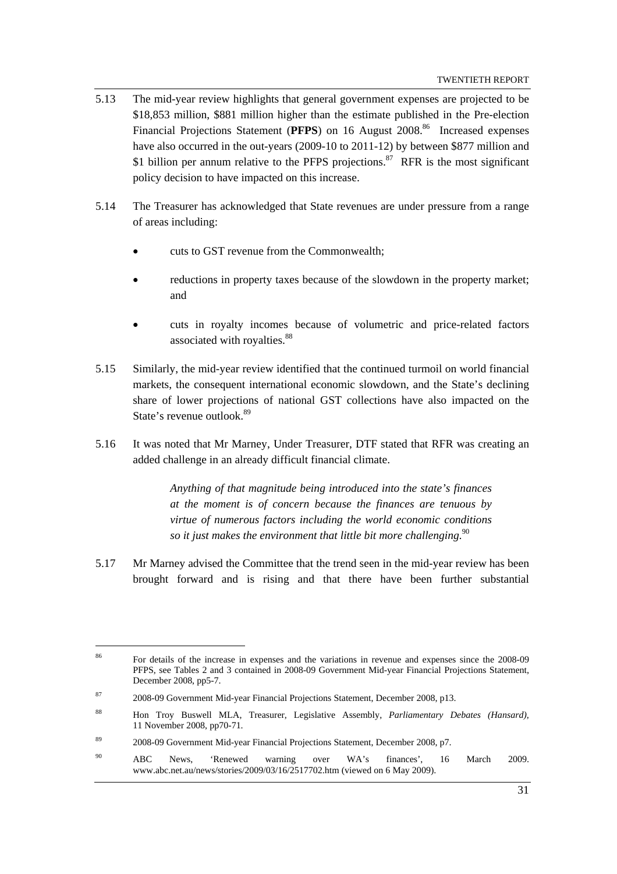- 5.13 The mid-year review highlights that general government expenses are projected to be \$18,853 million, \$881 million higher than the estimate published in the Pre-election Financial Projections Statement (PFPS) on 16 August 2008.<sup>86</sup> Increased expenses have also occurred in the out-years (2009-10 to 2011-12) by between \$877 million and \$1 billion per annum relative to the PFPS projections. $87$  RFR is the most significant policy decision to have impacted on this increase.
- 5.14 The Treasurer has acknowledged that State revenues are under pressure from a range of areas including:
	- cuts to GST revenue from the Commonwealth;
	- reductions in property taxes because of the slowdown in the property market; and
	- cuts in royalty incomes because of volumetric and price-related factors associated with royalties.<sup>88</sup>
- 5.15 Similarly, the mid-year review identified that the continued turmoil on world financial markets, the consequent international economic slowdown, and the State's declining share of lower projections of national GST collections have also impacted on the State's revenue outlook.<sup>89</sup>
- 5.16 It was noted that Mr Marney, Under Treasurer, DTF stated that RFR was creating an added challenge in an already difficult financial climate.

*Anything of that magnitude being introduced into the state's finances at the moment is of concern because the finances are tenuous by virtue of numerous factors including the world economic conditions so it just makes the environment that little bit more challenging.*<sup>90</sup>

5.17 Mr Marney advised the Committee that the trend seen in the mid-year review has been brought forward and is rising and that there have been further substantial

<sup>86</sup> For details of the increase in expenses and the variations in revenue and expenses since the 2008-09 PFPS, see Tables 2 and 3 contained in 2008-09 Government Mid-year Financial Projections Statement, December 2008, pp5-7.

<sup>87 2008-09</sup> Government Mid-year Financial Projections Statement, December 2008, p13.

<sup>88</sup> Hon Troy Buswell MLA, Treasurer, Legislative Assembly, *Parliamentary Debates (Hansard)*, 11 November 2008, pp70-71.

<sup>89 2008-09</sup> Government Mid-year Financial Projections Statement, December 2008, p7.

<sup>90</sup> ABC News, 'Renewed warning over WA's finances', 16 March 2009. www.abc.net.au/news/stories/2009/03/16/2517702.htm (viewed on 6 May 2009).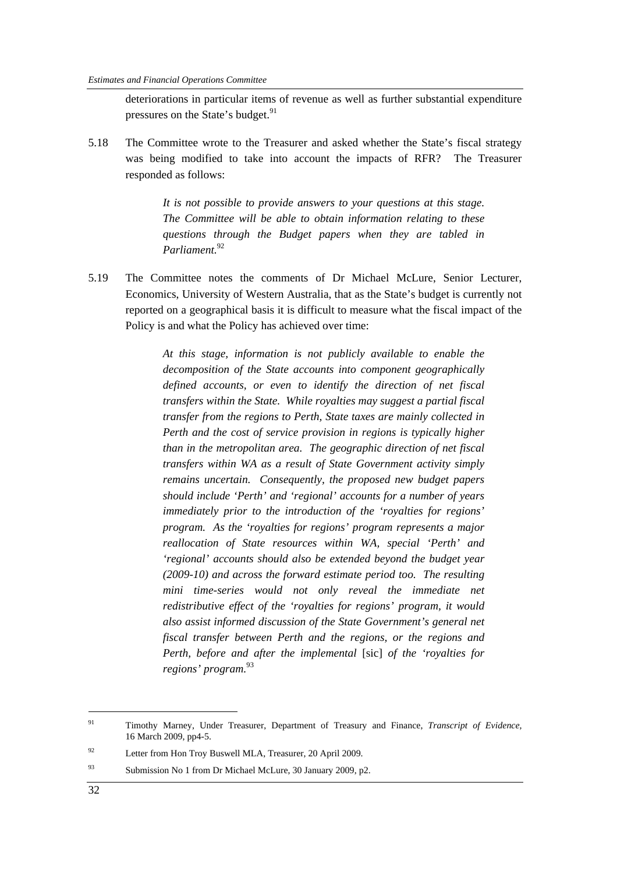deteriorations in particular items of revenue as well as further substantial expenditure pressures on the State's budget.<sup>91</sup>

5.18 The Committee wrote to the Treasurer and asked whether the State's fiscal strategy was being modified to take into account the impacts of RFR? The Treasurer responded as follows:

> *It is not possible to provide answers to your questions at this stage. The Committee will be able to obtain information relating to these questions through the Budget papers when they are tabled in Parliament.*<sup>92</sup>

5.19 The Committee notes the comments of Dr Michael McLure, Senior Lecturer, Economics, University of Western Australia, that as the State's budget is currently not reported on a geographical basis it is difficult to measure what the fiscal impact of the Policy is and what the Policy has achieved over time:

> *At this stage, information is not publicly available to enable the decomposition of the State accounts into component geographically defined accounts, or even to identify the direction of net fiscal transfers within the State. While royalties may suggest a partial fiscal transfer from the regions to Perth, State taxes are mainly collected in Perth and the cost of service provision in regions is typically higher than in the metropolitan area. The geographic direction of net fiscal transfers within WA as a result of State Government activity simply remains uncertain. Consequently, the proposed new budget papers should include 'Perth' and 'regional' accounts for a number of years immediately prior to the introduction of the 'royalties for regions' program. As the 'royalties for regions' program represents a major reallocation of State resources within WA, special 'Perth' and 'regional' accounts should also be extended beyond the budget year (2009-10) and across the forward estimate period too. The resulting mini time-series would not only reveal the immediate net redistributive effect of the 'royalties for regions' program, it would also assist informed discussion of the State Government's general net fiscal transfer between Perth and the regions, or the regions and Perth, before and after the implemental* [sic] *of the 'royalties for regions' program.*<sup>93</sup>

93 Submission No 1 from Dr Michael McLure, 30 January 2009, p2.

<sup>91</sup> Timothy Marney, Under Treasurer, Department of Treasury and Finance, *Transcript of Evidence,*  16 March 2009, pp4-5.

<sup>92</sup> Letter from Hon Troy Buswell MLA, Treasurer, 20 April 2009.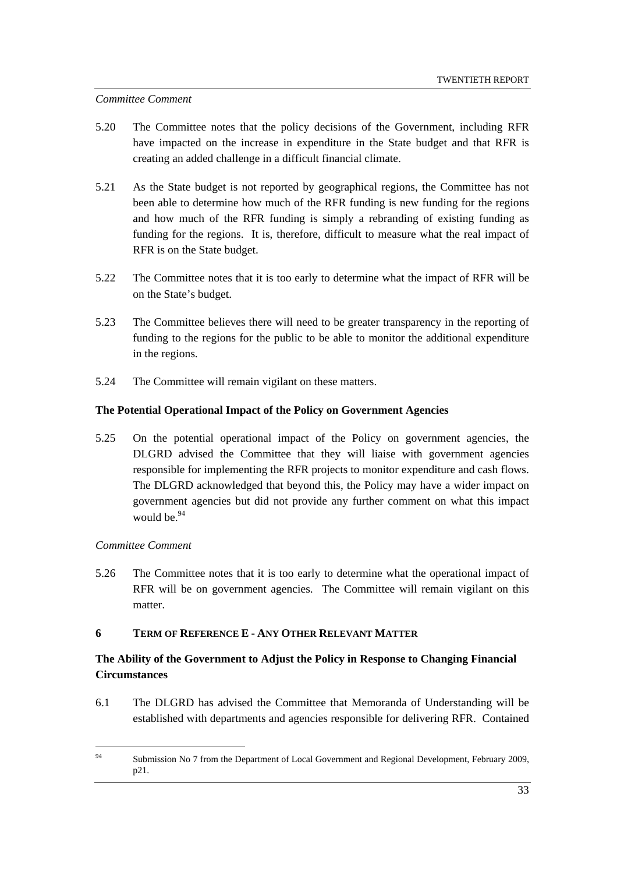#### *Committee Comment*

- 5.20 The Committee notes that the policy decisions of the Government, including RFR have impacted on the increase in expenditure in the State budget and that RFR is creating an added challenge in a difficult financial climate.
- 5.21 As the State budget is not reported by geographical regions, the Committee has not been able to determine how much of the RFR funding is new funding for the regions and how much of the RFR funding is simply a rebranding of existing funding as funding for the regions. It is, therefore, difficult to measure what the real impact of RFR is on the State budget.
- 5.22 The Committee notes that it is too early to determine what the impact of RFR will be on the State's budget.
- 5.23 The Committee believes there will need to be greater transparency in the reporting of funding to the regions for the public to be able to monitor the additional expenditure in the regions.
- 5.24 The Committee will remain vigilant on these matters.

#### **The Potential Operational Impact of the Policy on Government Agencies**

5.25 On the potential operational impact of the Policy on government agencies, the DLGRD advised the Committee that they will liaise with government agencies responsible for implementing the RFR projects to monitor expenditure and cash flows. The DLGRD acknowledged that beyond this, the Policy may have a wider impact on government agencies but did not provide any further comment on what this impact would be $^{94}$ 

#### *Committee Comment*

 $\overline{a}$ 

5.26 The Committee notes that it is too early to determine what the operational impact of RFR will be on government agencies. The Committee will remain vigilant on this matter.

#### **6 TERM OF REFERENCE E - ANY OTHER RELEVANT MATTER**

### **The Ability of the Government to Adjust the Policy in Response to Changing Financial Circumstances**

6.1 The DLGRD has advised the Committee that Memoranda of Understanding will be established with departments and agencies responsible for delivering RFR. Contained

<sup>94</sup> Submission No 7 from the Department of Local Government and Regional Development, February 2009, p21.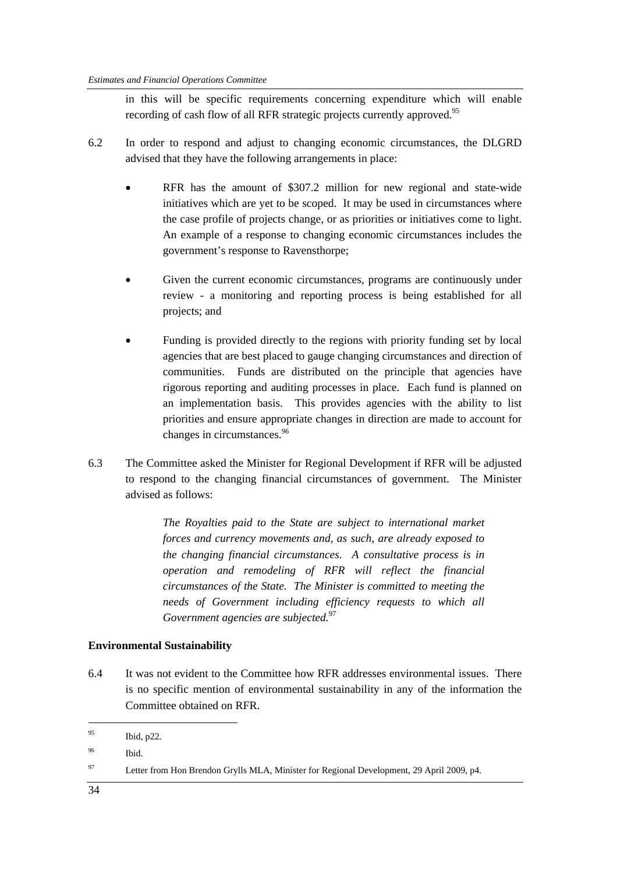in this will be specific requirements concerning expenditure which will enable recording of cash flow of all RFR strategic projects currently approved.<sup>95</sup>

- 6.2 In order to respond and adjust to changing economic circumstances, the DLGRD advised that they have the following arrangements in place:
	- RFR has the amount of \$307.2 million for new regional and state-wide initiatives which are yet to be scoped. It may be used in circumstances where the case profile of projects change, or as priorities or initiatives come to light. An example of a response to changing economic circumstances includes the government's response to Ravensthorpe;
	- Given the current economic circumstances, programs are continuously under review - a monitoring and reporting process is being established for all projects; and
	- Funding is provided directly to the regions with priority funding set by local agencies that are best placed to gauge changing circumstances and direction of communities. Funds are distributed on the principle that agencies have rigorous reporting and auditing processes in place. Each fund is planned on an implementation basis. This provides agencies with the ability to list priorities and ensure appropriate changes in direction are made to account for changes in circumstances.<sup>96</sup>
- 6.3 The Committee asked the Minister for Regional Development if RFR will be adjusted to respond to the changing financial circumstances of government. The Minister advised as follows:

*The Royalties paid to the State are subject to international market forces and currency movements and, as such, are already exposed to the changing financial circumstances. A consultative process is in operation and remodeling of RFR will reflect the financial circumstances of the State. The Minister is committed to meeting the needs of Government including efficiency requests to which all Government agencies are subjected.*<sup>97</sup>

#### **Environmental Sustainability**

6.4 It was not evident to the Committee how RFR addresses environmental issues. There is no specific mention of environmental sustainability in any of the information the Committee obtained on RFR.

<sup>95</sup> Ibid, p22.

<sup>96</sup> Ibid.

<sup>97</sup> Letter from Hon Brendon Grylls MLA, Minister for Regional Development, 29 April 2009, p4.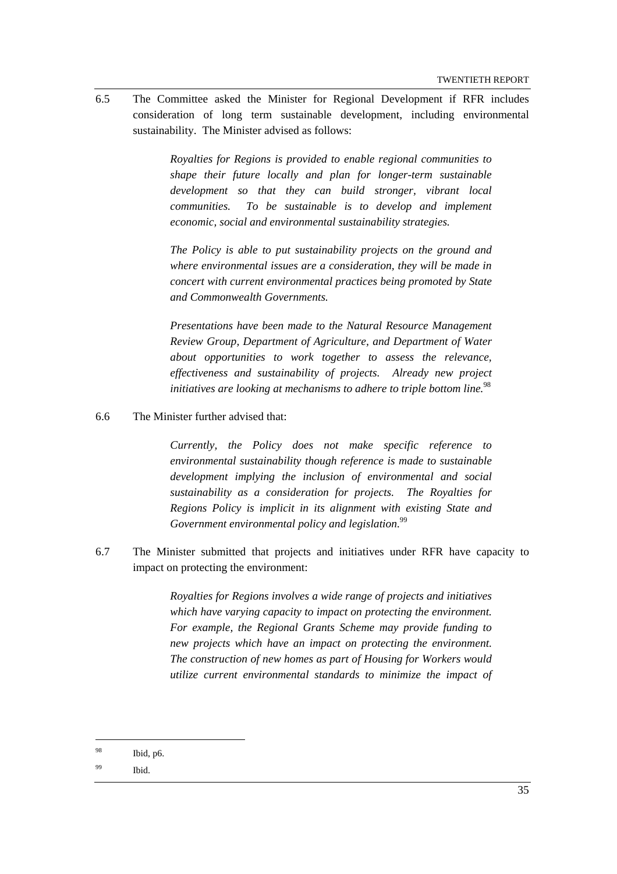6.5 The Committee asked the Minister for Regional Development if RFR includes consideration of long term sustainable development, including environmental sustainability. The Minister advised as follows:

> *Royalties for Regions is provided to enable regional communities to shape their future locally and plan for longer-term sustainable development so that they can build stronger, vibrant local communities. To be sustainable is to develop and implement economic, social and environmental sustainability strategies.*

> *The Policy is able to put sustainability projects on the ground and where environmental issues are a consideration, they will be made in concert with current environmental practices being promoted by State and Commonwealth Governments.*

> *Presentations have been made to the Natural Resource Management Review Group, Department of Agriculture, and Department of Water about opportunities to work together to assess the relevance, effectiveness and sustainability of projects. Already new project initiatives are looking at mechanisms to adhere to triple bottom line.*<sup>98</sup>

6.6 The Minister further advised that:

*Currently, the Policy does not make specific reference to environmental sustainability though reference is made to sustainable development implying the inclusion of environmental and social sustainability as a consideration for projects. The Royalties for Regions Policy is implicit in its alignment with existing State and Government environmental policy and legislation.*<sup>99</sup>

6.7 The Minister submitted that projects and initiatives under RFR have capacity to impact on protecting the environment:

> *Royalties for Regions involves a wide range of projects and initiatives which have varying capacity to impact on protecting the environment. For example, the Regional Grants Scheme may provide funding to new projects which have an impact on protecting the environment. The construction of new homes as part of Housing for Workers would utilize current environmental standards to minimize the impact of*

<sup>98</sup> Ibid, p6.

<sup>99</sup> Ibid.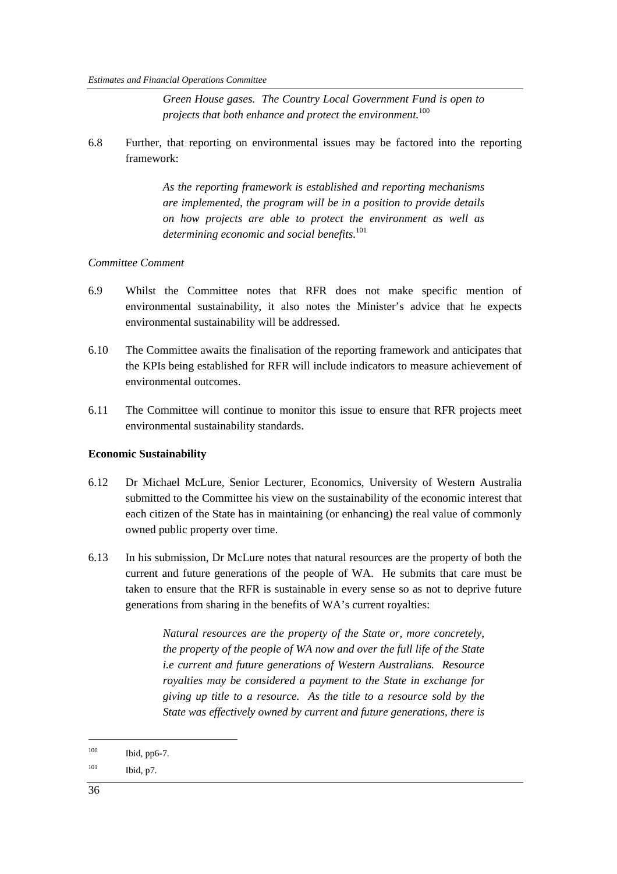*Green House gases. The Country Local Government Fund is open to projects that both enhance and protect the environment.*<sup>100</sup>

6.8 Further, that reporting on environmental issues may be factored into the reporting framework:

> *As the reporting framework is established and reporting mechanisms are implemented, the program will be in a position to provide details on how projects are able to protect the environment as well as determining economic and social benefits.*<sup>101</sup>

#### *Committee Comment*

- 6.9 Whilst the Committee notes that RFR does not make specific mention of environmental sustainability, it also notes the Minister's advice that he expects environmental sustainability will be addressed.
- 6.10 The Committee awaits the finalisation of the reporting framework and anticipates that the KPIs being established for RFR will include indicators to measure achievement of environmental outcomes.
- 6.11 The Committee will continue to monitor this issue to ensure that RFR projects meet environmental sustainability standards.

#### **Economic Sustainability**

- 6.12 Dr Michael McLure, Senior Lecturer, Economics, University of Western Australia submitted to the Committee his view on the sustainability of the economic interest that each citizen of the State has in maintaining (or enhancing) the real value of commonly owned public property over time.
- 6.13 In his submission, Dr McLure notes that natural resources are the property of both the current and future generations of the people of WA. He submits that care must be taken to ensure that the RFR is sustainable in every sense so as not to deprive future generations from sharing in the benefits of WA's current royalties:

*Natural resources are the property of the State or, more concretely, the property of the people of WA now and over the full life of the State i.e current and future generations of Western Australians. Resource royalties may be considered a payment to the State in exchange for giving up title to a resource. As the title to a resource sold by the State was effectively owned by current and future generations, there is* 

<sup>100</sup> Ibid, pp6-7.

 $101$  Ibid, p7.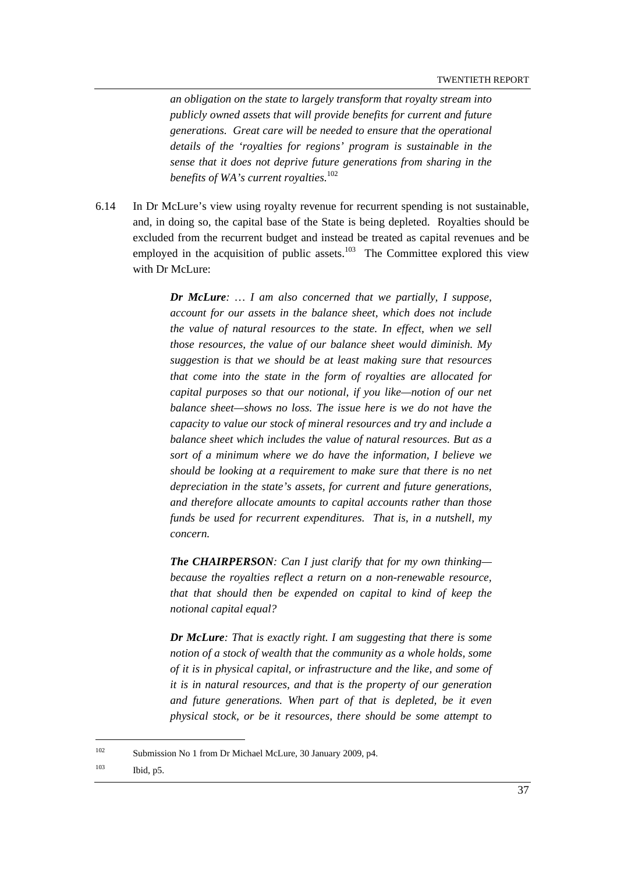*an obligation on the state to largely transform that royalty stream into publicly owned assets that will provide benefits for current and future generations. Great care will be needed to ensure that the operational details of the 'royalties for regions' program is sustainable in the sense that it does not deprive future generations from sharing in the benefits of WA's current royalties.*<sup>102</sup>

6.14 In Dr McLure's view using royalty revenue for recurrent spending is not sustainable, and, in doing so, the capital base of the State is being depleted. Royalties should be excluded from the recurrent budget and instead be treated as capital revenues and be employed in the acquisition of public assets. $103$  The Committee explored this view with Dr McLure:

> *Dr McLure: … I am also concerned that we partially, I suppose, account for our assets in the balance sheet, which does not include the value of natural resources to the state. In effect, when we sell those resources, the value of our balance sheet would diminish. My suggestion is that we should be at least making sure that resources that come into the state in the form of royalties are allocated for capital purposes so that our notional, if you like—notion of our net balance sheet—shows no loss. The issue here is we do not have the capacity to value our stock of mineral resources and try and include a balance sheet which includes the value of natural resources. But as a sort of a minimum where we do have the information, I believe we should be looking at a requirement to make sure that there is no net depreciation in the state's assets, for current and future generations, and therefore allocate amounts to capital accounts rather than those funds be used for recurrent expenditures. That is, in a nutshell, my concern.*

> *The CHAIRPERSON: Can I just clarify that for my own thinking because the royalties reflect a return on a non-renewable resource, that that should then be expended on capital to kind of keep the notional capital equal?*

> *Dr McLure: That is exactly right. I am suggesting that there is some notion of a stock of wealth that the community as a whole holds, some of it is in physical capital, or infrastructure and the like, and some of it is in natural resources, and that is the property of our generation and future generations. When part of that is depleted, be it even physical stock, or be it resources, there should be some attempt to*

103 Ibid, p5.

<sup>102</sup> Submission No 1 from Dr Michael McLure, 30 January 2009, p4.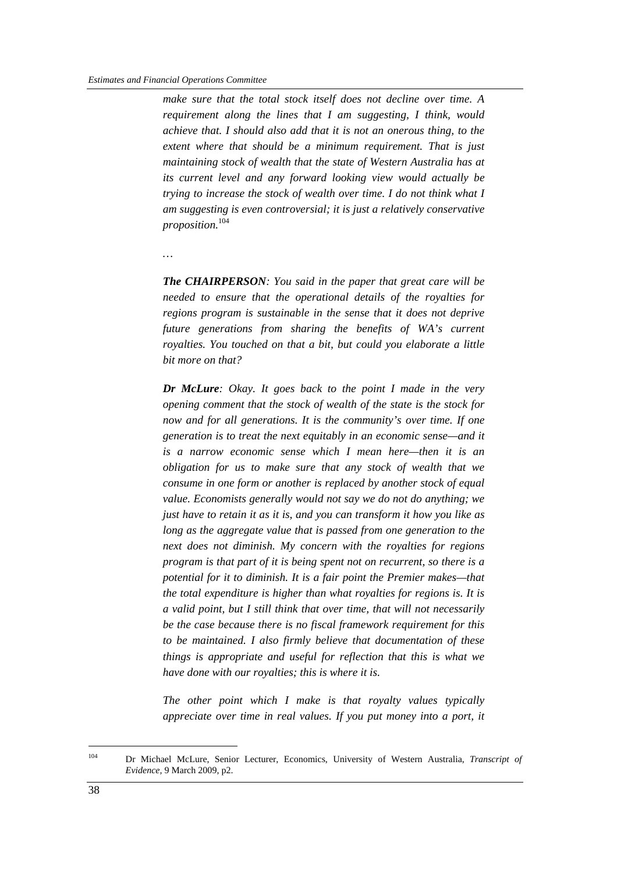*make sure that the total stock itself does not decline over time. A requirement along the lines that I am suggesting, I think, would achieve that. I should also add that it is not an onerous thing, to the extent where that should be a minimum requirement. That is just maintaining stock of wealth that the state of Western Australia has at its current level and any forward looking view would actually be trying to increase the stock of wealth over time. I do not think what I am suggesting is even controversial; it is just a relatively conservative proposition.*<sup>104</sup>

*…* 

*The CHAIRPERSON: You said in the paper that great care will be needed to ensure that the operational details of the royalties for regions program is sustainable in the sense that it does not deprive future generations from sharing the benefits of WA's current royalties. You touched on that a bit, but could you elaborate a little bit more on that?* 

*Dr McLure: Okay. It goes back to the point I made in the very opening comment that the stock of wealth of the state is the stock for now and for all generations. It is the community's over time. If one generation is to treat the next equitably in an economic sense—and it is a narrow economic sense which I mean here—then it is an obligation for us to make sure that any stock of wealth that we consume in one form or another is replaced by another stock of equal value. Economists generally would not say we do not do anything; we just have to retain it as it is, and you can transform it how you like as long as the aggregate value that is passed from one generation to the next does not diminish. My concern with the royalties for regions program is that part of it is being spent not on recurrent, so there is a potential for it to diminish. It is a fair point the Premier makes—that the total expenditure is higher than what royalties for regions is. It is a valid point, but I still think that over time, that will not necessarily be the case because there is no fiscal framework requirement for this to be maintained. I also firmly believe that documentation of these things is appropriate and useful for reflection that this is what we have done with our royalties; this is where it is.* 

*The other point which I make is that royalty values typically appreciate over time in real values. If you put money into a port, it* 

<sup>104</sup> Dr Michael McLure, Senior Lecturer, Economics, University of Western Australia, *Transcript of Evidence,* 9 March 2009, p2.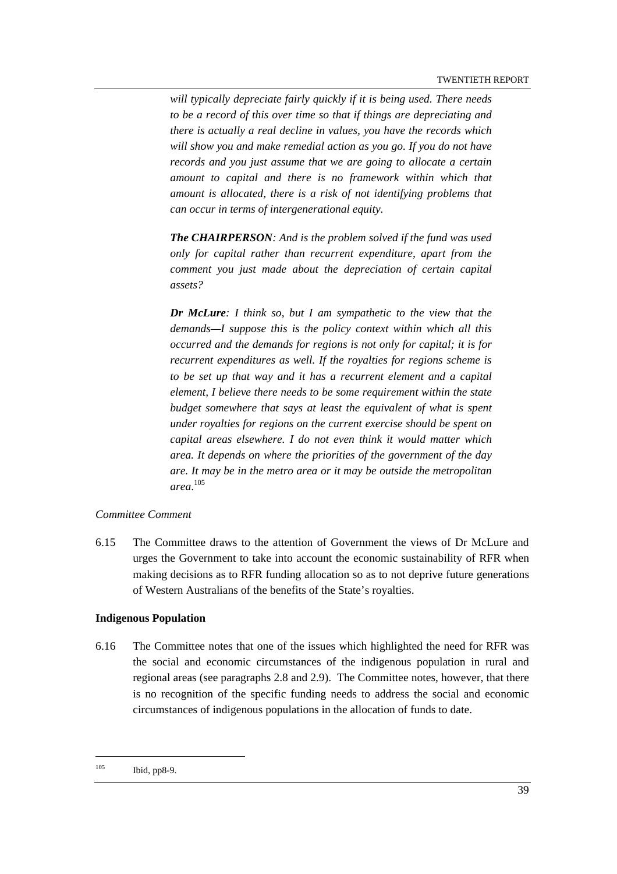*will typically depreciate fairly quickly if it is being used. There needs to be a record of this over time so that if things are depreciating and there is actually a real decline in values, you have the records which will show you and make remedial action as you go. If you do not have records and you just assume that we are going to allocate a certain amount to capital and there is no framework within which that amount is allocated, there is a risk of not identifying problems that can occur in terms of intergenerational equity.* 

*The CHAIRPERSON: And is the problem solved if the fund was used only for capital rather than recurrent expenditure, apart from the comment you just made about the depreciation of certain capital assets?* 

*Dr McLure: I think so, but I am sympathetic to the view that the demands—I suppose this is the policy context within which all this occurred and the demands for regions is not only for capital; it is for recurrent expenditures as well. If the royalties for regions scheme is to be set up that way and it has a recurrent element and a capital element, I believe there needs to be some requirement within the state budget somewhere that says at least the equivalent of what is spent under royalties for regions on the current exercise should be spent on capital areas elsewhere. I do not even think it would matter which area. It depends on where the priorities of the government of the day are. It may be in the metro area or it may be outside the metropolitan area*. 105

#### *Committee Comment*

6.15 The Committee draws to the attention of Government the views of Dr McLure and urges the Government to take into account the economic sustainability of RFR when making decisions as to RFR funding allocation so as to not deprive future generations of Western Australians of the benefits of the State's royalties.

#### **Indigenous Population**

6.16 The Committee notes that one of the issues which highlighted the need for RFR was the social and economic circumstances of the indigenous population in rural and regional areas (see paragraphs 2.8 and 2.9). The Committee notes, however, that there is no recognition of the specific funding needs to address the social and economic circumstances of indigenous populations in the allocation of funds to date.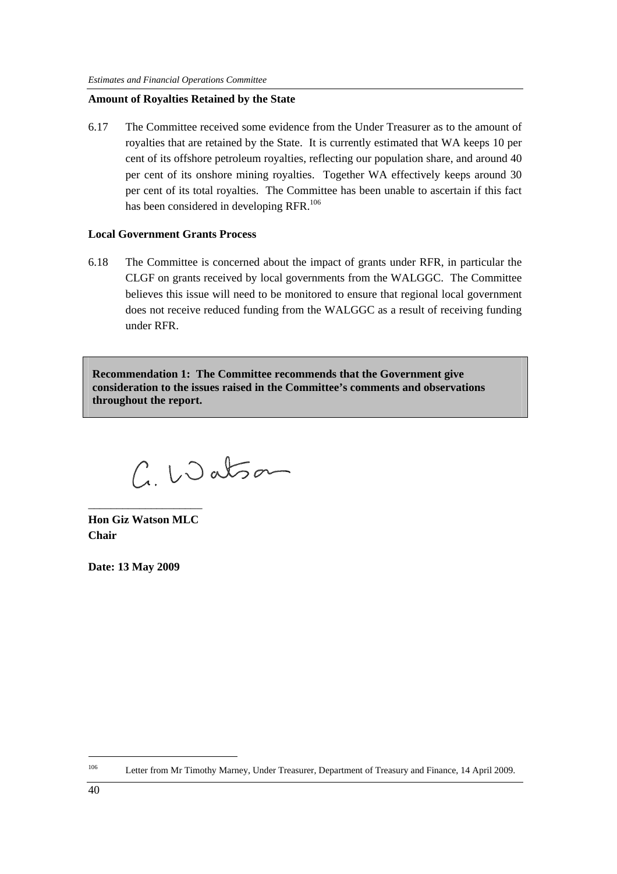#### **Amount of Royalties Retained by the State**

6.17 The Committee received some evidence from the Under Treasurer as to the amount of royalties that are retained by the State. It is currently estimated that WA keeps 10 per cent of its offshore petroleum royalties, reflecting our population share, and around 40 per cent of its onshore mining royalties. Together WA effectively keeps around 30 per cent of its total royalties. The Committee has been unable to ascertain if this fact has been considered in developing RFR.<sup>106</sup>

#### **Local Government Grants Process**

6.18 The Committee is concerned about the impact of grants under RFR, in particular the CLGF on grants received by local governments from the WALGGC. The Committee believes this issue will need to be monitored to ensure that regional local government does not receive reduced funding from the WALGGC as a result of receiving funding under RFR.

**Recommendation 1: The Committee recommends that the Government give consideration to the issues raised in the Committee's comments and observations throughout the report.** 

C. Watson

**Hon Giz Watson MLC Chair** 

\_\_\_\_\_\_\_\_\_\_\_\_\_\_\_\_\_\_\_\_

**Date: 13 May 2009** 

<sup>106</sup> Letter from Mr Timothy Marney, Under Treasurer, Department of Treasury and Finance, 14 April 2009.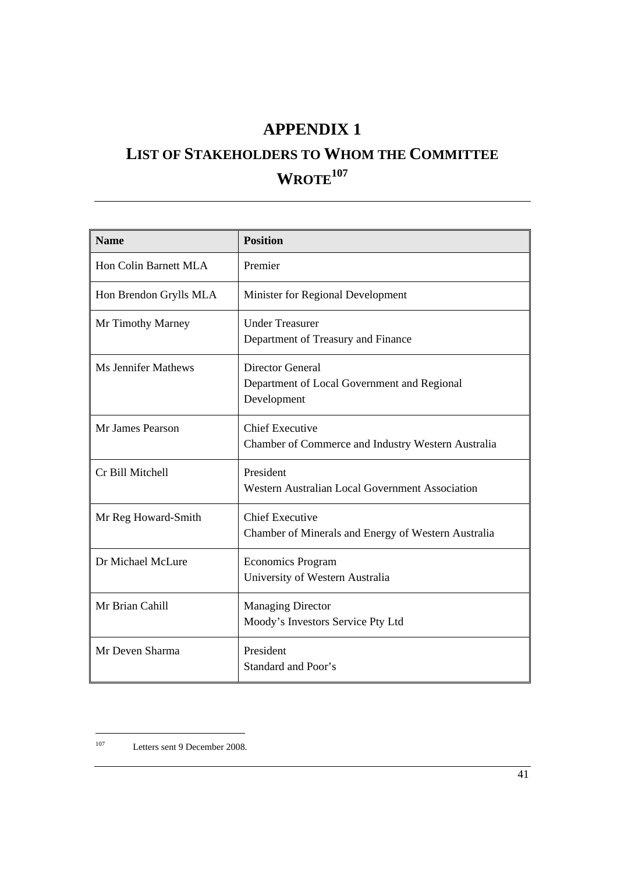## **APPENDIX 1**

# **LIST OF STAKEHOLDERS TO WHOM THE COMMITTEE**   $WROTE<sup>107</sup>$

| <b>Name</b>                | <b>Position</b>                                                                       |
|----------------------------|---------------------------------------------------------------------------------------|
| Hon Colin Barnett MLA      | Premier                                                                               |
| Hon Brendon Grylls MLA     | Minister for Regional Development                                                     |
| Mr Timothy Marney          | <b>Under Treasurer</b><br>Department of Treasury and Finance                          |
| <b>Ms Jennifer Mathews</b> | <b>Director General</b><br>Department of Local Government and Regional<br>Development |
| Mr James Pearson           | <b>Chief Executive</b><br>Chamber of Commerce and Industry Western Australia          |
| Cr Bill Mitchell           | President<br>Western Australian Local Government Association                          |
| Mr Reg Howard-Smith        | <b>Chief Executive</b><br>Chamber of Minerals and Energy of Western Australia         |
| Dr Michael McLure          | <b>Economics Program</b><br>University of Western Australia                           |
| Mr Brian Cahill            | <b>Managing Director</b><br>Moody's Investors Service Pty Ltd                         |
| Mr Deven Sharma            | President<br>Standard and Poor's                                                      |

 $107\,$ Letters sent 9 December 2008.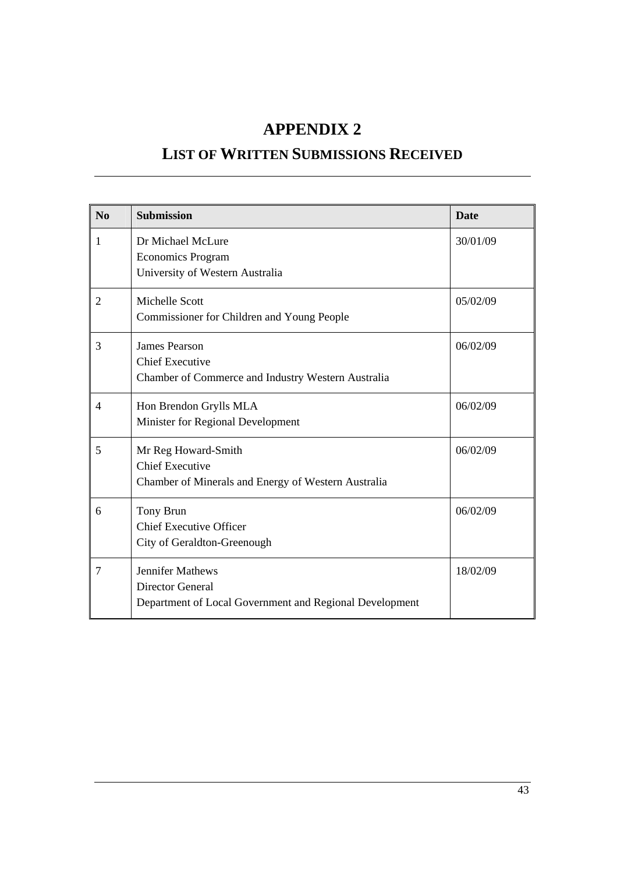## **APPENDIX 2**

## **LIST OF WRITTEN SUBMISSIONS RECEIVED**

| No             | <b>Submission</b>                                       | <b>Date</b> |
|----------------|---------------------------------------------------------|-------------|
| 1              | Dr Michael McLure<br><b>Economics Program</b>           | 30/01/09    |
|                | University of Western Australia                         |             |
| $\overline{2}$ | Michelle Scott                                          | 05/02/09    |
|                | Commissioner for Children and Young People              |             |
| 3              | <b>James Pearson</b>                                    | 06/02/09    |
|                | <b>Chief Executive</b>                                  |             |
|                | Chamber of Commerce and Industry Western Australia      |             |
| 4              | Hon Brendon Grylls MLA                                  | 06/02/09    |
|                | Minister for Regional Development                       |             |
| 5              | Mr Reg Howard-Smith                                     | 06/02/09    |
|                | <b>Chief Executive</b>                                  |             |
|                | Chamber of Minerals and Energy of Western Australia     |             |
| 6              | Tony Brun                                               | 06/02/09    |
|                | <b>Chief Executive Officer</b>                          |             |
|                | City of Geraldton-Greenough                             |             |
| 7              | <b>Jennifer Mathews</b>                                 | 18/02/09    |
|                | <b>Director General</b>                                 |             |
|                | Department of Local Government and Regional Development |             |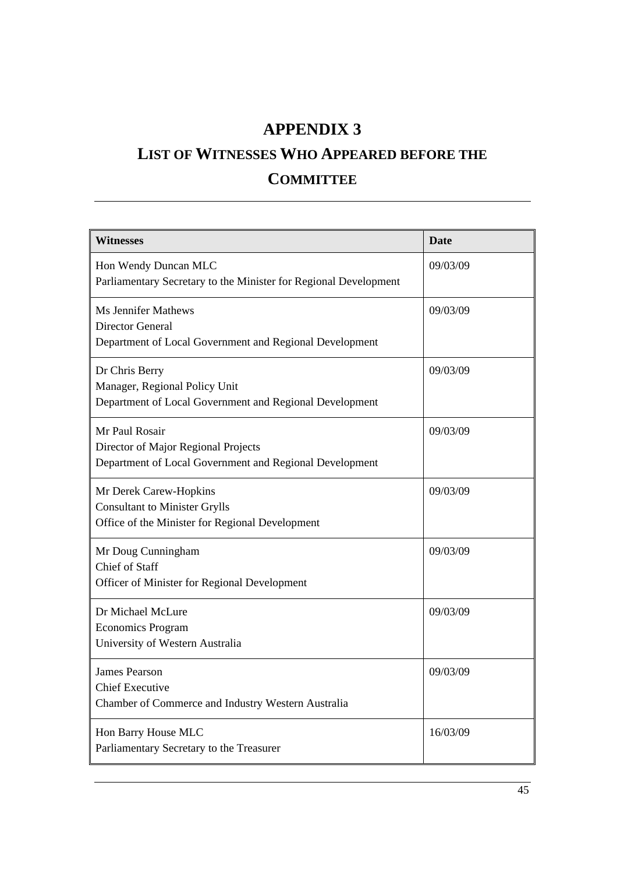## **APPENDIX 3**

# **LIST OF WITNESSES WHO APPEARED BEFORE THE COMMITTEE**

| <b>Witnesses</b>                                                                                                  | <b>Date</b> |
|-------------------------------------------------------------------------------------------------------------------|-------------|
| Hon Wendy Duncan MLC<br>Parliamentary Secretary to the Minister for Regional Development                          | 09/03/09    |
| <b>Ms Jennifer Mathews</b><br><b>Director General</b><br>Department of Local Government and Regional Development  | 09/03/09    |
| Dr Chris Berry<br>Manager, Regional Policy Unit<br>Department of Local Government and Regional Development        | 09/03/09    |
| Mr Paul Rosair<br>Director of Major Regional Projects<br>Department of Local Government and Regional Development  | 09/03/09    |
| Mr Derek Carew-Hopkins<br><b>Consultant to Minister Grylls</b><br>Office of the Minister for Regional Development | 09/03/09    |
| Mr Doug Cunningham<br><b>Chief of Staff</b><br>Officer of Minister for Regional Development                       | 09/03/09    |
| Dr Michael McLure<br><b>Economics Program</b><br>University of Western Australia                                  | 09/03/09    |
| <b>James Pearson</b><br><b>Chief Executive</b><br>Chamber of Commerce and Industry Western Australia              | 09/03/09    |
| Hon Barry House MLC<br>Parliamentary Secretary to the Treasurer                                                   | 16/03/09    |